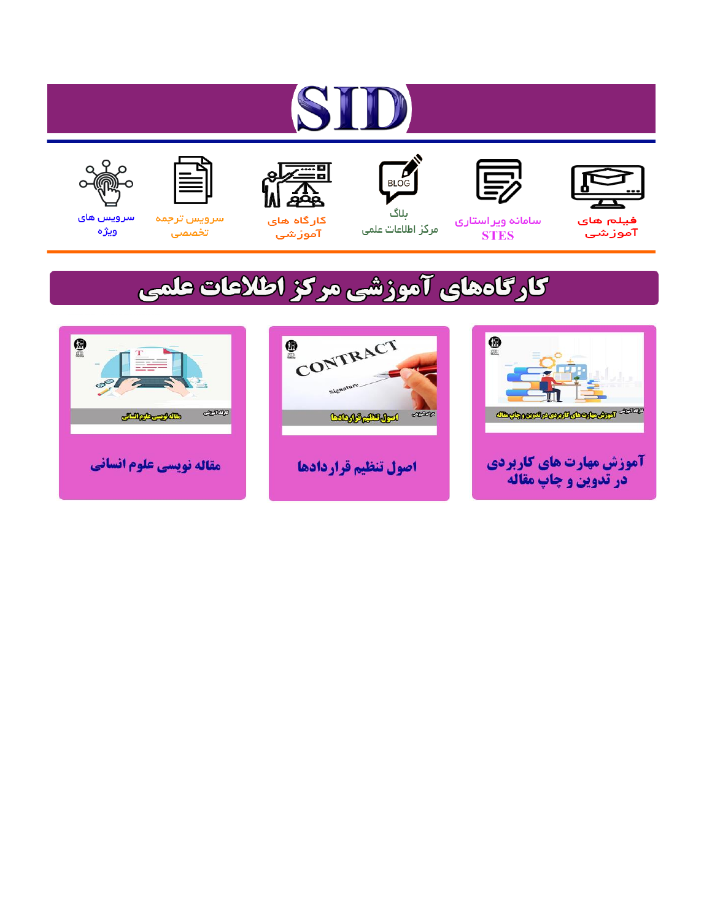# ST









#### سامائه ويراستاري **STES**



ىلاگ مرکز اطلاعات علمی



ققق کارگاه های

آموزشي

空



تخصصى

سرویس های ويژه

# كارگاههای آموزشی مركز اطلاعات علمی





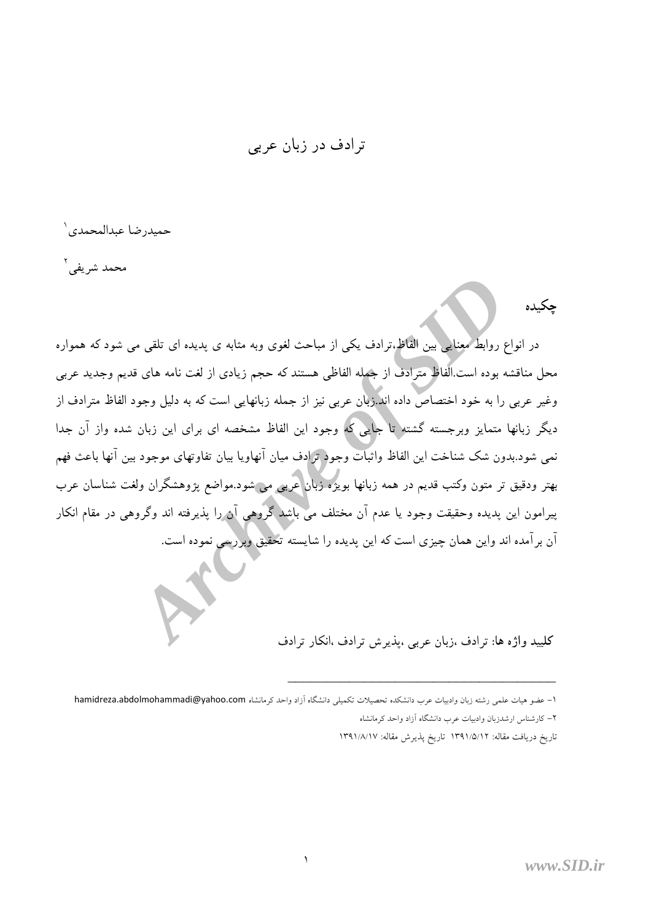ترادف در زبان عربي

حميدر ضا عبدالمحمدي`

محمد شریفی <sup>۲</sup>

حكىدە

در انواع روابط معنایی بین الفاظ،ترادف یکی از مباحث لغوی وبه مثابه ی پدیده ای تلقی می شود که همواره محل مناقشه بوده است.الفاظ مترادف از جمله الفاظي هستند كه حجم زيادى از لغت نامه هاى قديم وجديد عربى وغیر عربی را به خود اختصاص داده اند.زبان عربی نیز از جمله زبانهایی است که به دلیل وجود الفاظ مترادف از دیگر زبانها متمایز وبرجسته گشته تا جایی که وجود این الفاظ مشخصه ای برای این زبان شده واز آن جدا نمي شود.بدون شک شناخت اين الفاظ واثبات وجود ترادف ميان آنهاويا بيان تفاوتهاي موجود بين آنها باعث فهم بهتر ودقیق تر متون وکتب قدیم در همه زبانها بویژه زبان عربی می شود.مواضع پژوهشگران ولغت شناسان عرب پیرامون این پدیده وحقیقت وجود یا عدم آن مختلف می باشد گروهی آن را پذیرفته اند وگروهی در مقام انکار آن برآمده اند واین همان چیزی است که این پدیده را شایسته تحقیق وبررسی نموده است.

كلييد واژه ها: ترادف ،زبان عربي ،يذيرش ترادف ،انكار ترادف

تاريخ دريافت مقاله: ١٣٩١/٥/١٢ تاريخ پذيرش مقاله: ١٣٩١/٨/١٧

۱– عضو هیات علمی رشته زبان وادبیات عرب دانشکده تحصیلات تکمیلی دانشگاه آزاد واحد کرمانشاه hamidreza.abdolmohammadi@yahoo.com ۲– کارشناس ارشدزبان وادبیات عرب دانشگاه آزاد واحد کرمانشاه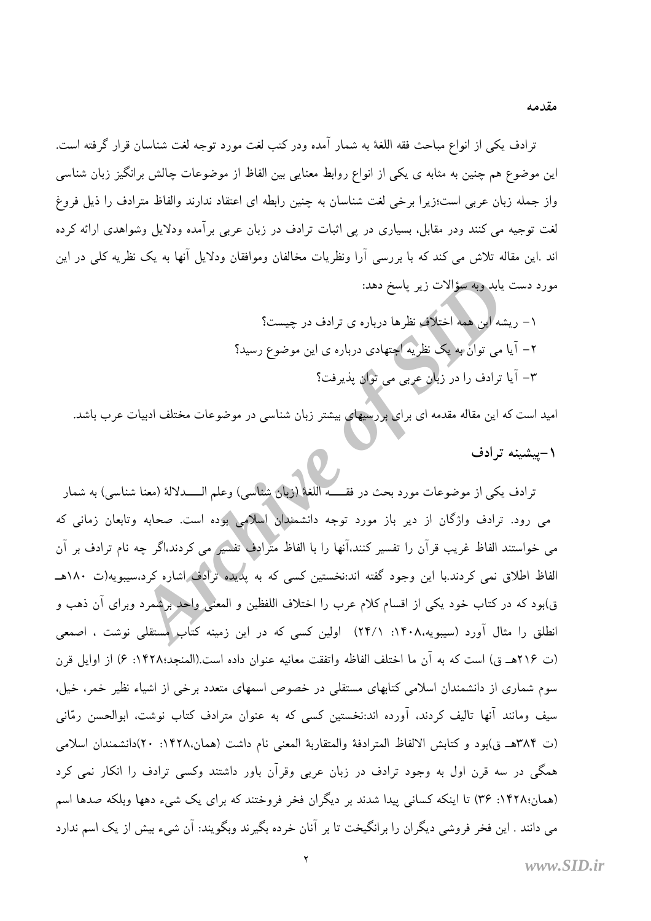ترادف يكي از انواع مباحث فقه اللغة به شمار آمده ودر كتب لغت مورد توجه لغت شناسان قرار گرفته است. این موضوع هم چنین به مثابه ی یکی از انواع روابط معنایی بین الفاظ از موضوعات چالش برانگیز زبان شناسی واز جمله زبان عربی است؛زیرا برخی لغت شناسان به چنین رابطه ای اعتقاد ندارند والفاظ مترادف را ذیل فروغ لغت توجیه می کنند ودر مقابل، بسیاری در پی اثبات ترادف در زبان عربی برآمده ودلایل وشواهدی ارائه کرده اند .اين مقاله تلاش مي كند كه با بررسي آرا ونظريات مخالفان وموافقان ودلايل آنها به يک نظريه كلي در اين مورد دست يابد وبه سؤالات زير ياسخ دهد:

> ۱– ریشه این همه اختلاف نظرها درباره ی ترادف در چیست؟ ۲– آیا می توان به یک نظریه اجتهادی درباره ی این موضوع رسید؟ ۳- آیا ترادف را در زبان عربی می توان پذیرفت؟

امید است که این مقاله مقدمه ای برای بررسیهای بیشتر زبان شناسی در موضوعات مختلف ادبیات عرب باشد.

۱-پیشینه ترادف

ترادف يكي از موضوعات مورد بحث در فقــــــه اللغة (زبان شناسي) وعلم الـــــدلالة (معنا شناسي) به شمار می رود. ترادف واژگان از دیر باز مورد توجه دانشمندان اسلامی بوده است. صحابه وتابعان زمانی که می خواستند الفاظ غریب قرآن را تفسیر کنند،آنها را با الفاظ مترادف تفسیر می کردند،اگر چه نام ترادف بر آن الفاظ اطلاق نمی کردند.با این وجود گفته اند:نخستین کسی که به پدیده ترادف اشاره کرد،سیبویه(ت ۱۸۰هــ ق)بود که در کتاب خود یکی از اقسام کلام عرب را اختلاف اللفظین و المعنی واحد برشمرد وبرای آن ذهب و انطلق را مثال آورد (سیبویه،۱۴۰۸. ۱۴/۱) اولین کسی که در این زمینه کتاب مستقلی نوشت ، اصمعی (ت ٢١۶هـ ق) است كه به آن ما اختلف الفاظه واتفقت معانيه عنوان داده است.(المنجد؛١۴٢٨: ۶) از اوايل قرن سوم شماری از دانشمندان اسلامی کتابهای مستقلی در خصوص اسمهای متعدد برخی از اشیاء نظیر خمر، خیل، سیف ومانند آنها تالیف کردند. آورده اند:نخستین کسی که به عنوان مترادف کتاب نوشت. ابوالحسن رمّانی (ت ٣٨۴هـ ق)بود و كتابش الالفاظ المترادفة والمتقاربة المعنى نام داشت (همان،١۴٢٨: ٢٠)دانشمندان اسلامي همگی در سه قرن اول به وجود ترادف در زبان عربی وقرآن باور داشتند وکسی ترادف را انکار نمی کرد (همان:۱۴۲۸: ۳۶) تا اینکه کسانی پیدا شدند بر دیگران فخر فروختند که برای یک شیء دهها وبلکه صدها اسم می دانند . این فخر فروشی دیگران را برانگیخت تا بر آنان خرده بگیرند وبگویند: آن شیء بیش از یک اسم ندارد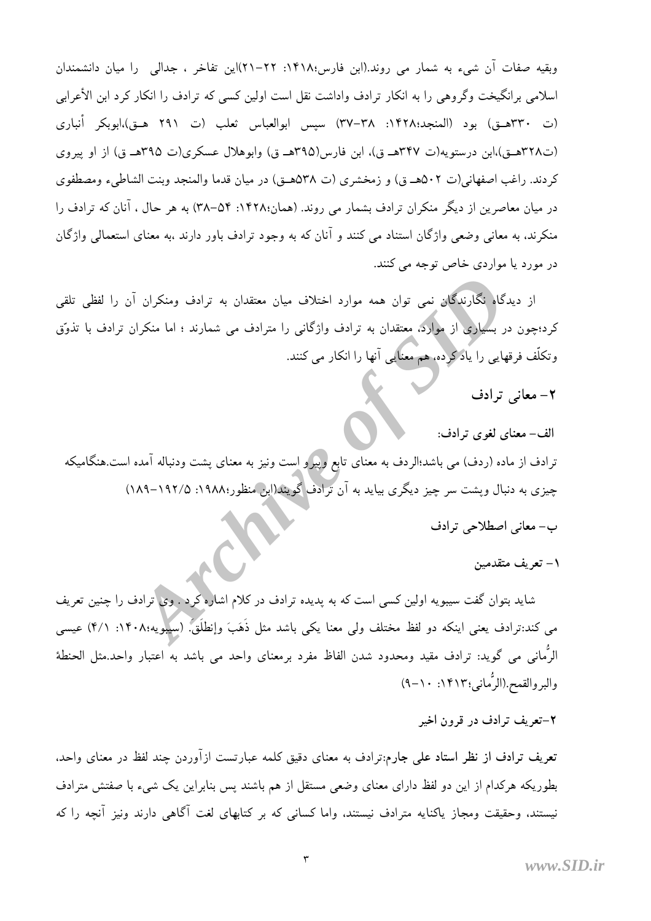وبقيه صفات آن شيء به شمار مي روند.(ابن فارس؛١۴١٨: ٢٢–٢١)اين تفاخر ، جدالي را ميان دانشمندان اسلامی برانگیخت وگروهی را به انکار ترادف واداشت نقل است اولین کسی که ترادف را انکار کرد ابن الأعرابی (ت ٣٢٠هـق) بود (المنجد:١۴٢٨: ٣٧–٣٧) سيس ابوالعباس ثعلب (ت ٢٩١ هـق)،ابوبكر أنباري (ت۳۲۸هـق)،ابن درستويه(ت ۳۴۷هـ ق)، ابن فارس(۳۹۵هـ ق) وابوهلال عسكري(ت ۳۹۵هـ ق) از او پيروي كردند. راغب اصفهاني(ت ٥٠٢هـ ق) و زمخشري (ت ٥٣٨هـق) در ميان قدما والمنجد وبنت الشاطيء ومصطفوي در میان معاصرین از دیگر منکران ترادف بشمار می روند. (همان:۱۴۲۸: ۵۴–۳۸) به هر حال ، آنان که ترادف را منکرند، به معانی وضعی واژگان استناد می کنند و آنان که به وجود ترادف باور دارند ،به معنای استعمالی واژگان در مورد يا مواردي خاص توجه مي كنند.

از دیدگاه نگارندگان نمی توان همه موارد اختلاف میان معتقدان به ترادف ومنکران آن را لفظی تلقی کرد؛چون در بسیاری از موارد، معتقدان به ترادف واژگانی را مترادف می شمارند ؛ اما منکران ترادف با تذوّق وتکلّف فرقهایی را یادگرده، هم معنایی آنها را انکار می کنند.

۲– معانی ترادف

الف– معنای لغوی ترادف:

ترادف از ماده (ردف) می باشد؛الردف به معنای تابع وییرو است ونیز به معنای پشت ودنباله آمده است.هنگامیکه چیزی به دنبال ویشت سر چیز دیگری بیاید به آن ترادف گویند(ابن منظور:۱۹۸۸: ۱۸۲۵–۱۸۹)

ب- معانی اصطلاحی ترادف

١– تعريف متقدمين

شاید بتوان گفت سیبویه اولین کسی است که به پدیده ترادف در کلام اشاره کرد . وی ترادف را چنین تعریف می کند:ترادف یعنی اینکه دو لفظ مختلف ولی معنا یکی باشد مثل ذَهَبَ وإنطلَقَ. (سیلویه:۱۴۰۸: ۴/۱) عیسی الرُّماني مي گويد: ترادف مقيد ومحدود شدن الفاظ مفرد برمعناي واحد مي باشد به اعتبار واحد.مثل الحنطة والبروالقمح (الرُّماني؛١۴١٣: ١٠-٩)

۲-تعریف ترادف در قرون اخیر

تعریف ترادف از نظر استاد علی جارم:ترادف به معنای دقیق کلمه عبارتست ازآوردن چند لفظ در معنای واحد. بطوریکه هرکدام از این دو لفظ دارای معنای وضعی مستقل از هم باشند پس بنابراین یک شیء با صفتش مترادف نیستند، وحقیقت ومجاز پاکنایه مترادف نیستند، واما کسانی که بر کتابهای لغت آگاهی دارند ونیز آنچه را که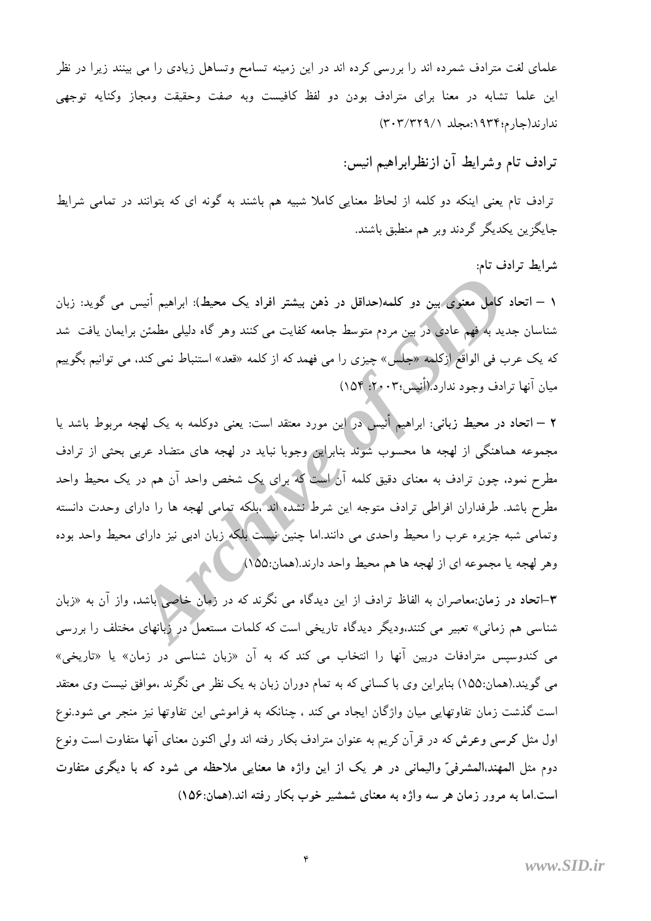علمای لغت مترادف شمرده اند را بررسی کرده اند در این زمینه تسامح وتساهل زیادی را می بینند زیرا در نظر این علما تشابه در معنا برای مترادف بودن دو لفظ کافیست وبه صفت وحقیقت ومجاز وکنایه توجهی ندارند(جارم؛۱۹۳۴:مجلد ۳۰۳/۳۲۹/۱)

ترادف تام وشرايط آن ازنظرابراهيم انيس:

ترادف تام یعنی اینکه دو کلمه از لحاظ معنایی کاملا شبیه هم باشند به گونه ای که بتوانند در تمامی شرایط جايگزين يکديگر گردند وبر هم منطبق باشند.

شرايط ترادف تام:

١ – اتحاد كامل معنوى بين دو كلمه(حداقل در ذهن بيشتر افراد يک محيط): ابراهيم أنيس مى گويد: زبان شناسان جدید به فهم عادی در بین مردم متوسط جامعه کفایت می کنند وهر گاه دلیلی مطمئن برایمان یافت شد که یک عرب فی الواقع ازکلمه «جلس» چیزی را می فهمد که از کلمه «قعد» استنباط نمی کند، می توانیم بگوییم میان آنها ترادف وجود نداردً (أنیس؛۲۰۰۳؛ ۱۵۴)

۲ – اتحاد در محیط زبانی: ابراهیم أنیس در این مورد معتقد است: یعنی دوکلمه به یک لهجه مربوط باشد یا مجموعه هماهنگی از لهجه ها محسوب شوند بنابراین وجوبا نباید در لهجه های متضاد عربی بحثی از ترادف مطرح نمود، چون ترادف به معنای دقیق کلمه آن است که برای یک شخص واحد آن هم در یک محیط واحد مطرح باشد. طرفداران افراطی ترادف متوجه این شرط نشده اند ،بلکه تمامی لهجه ها را دارای وحدت دانسته وتمامی شبه جزیره عرب را محیط واحدی می دانند.اما چنین نیست بلکه زبان ادبی نیز دارای محیط واحد بوده وهر لهجه یا مجموعه ای از لهجه ها هم محیط واحد دارند.(همان:۱۵۵)

۳–اتحاد در زمان:معاصران به الفاظ ترادف از این دیدگاه می نگرند که در زمان خاصی باشد، واز آن به «زبان شناسی هم زمانی» تعبیر می کنند،ودیگر دیدگاه تاریخی است که کلمات مستعمل در زبانهای مختلف را بررسی می کندوسیس مترادفات دربین آنها را انتخاب می کند که به آن «زبان شناسی در زمان» یا «تاریخی» می گویند.(همان:۱۵۵) بنابراین وی با کسانی که به تمام دوران زبان به یک نظر می نگرند ،موافق نیست وی معتقد است گذشت زمان تفاوتهایی میان واژگان ایجاد می کند ، چنانکه به فراموشی این تفاوتها نیز منجر می شود.نوع اول مثل کرسی وعرش که در قرآن کریم به عنوان مترادف بکار رفته اند ولی اکنون معنای آنها متفاوت است ونوع دوم مثل المهند،المشرفيِّ واليماني در هر يک از اين واژه ها معنايي ملاحظه مي شود که با ديگري متفاوت است.اما به مرور زمان هر سه واژه به معنای شمشیر خوب بکار رفته اند.(همان:۱۵۶)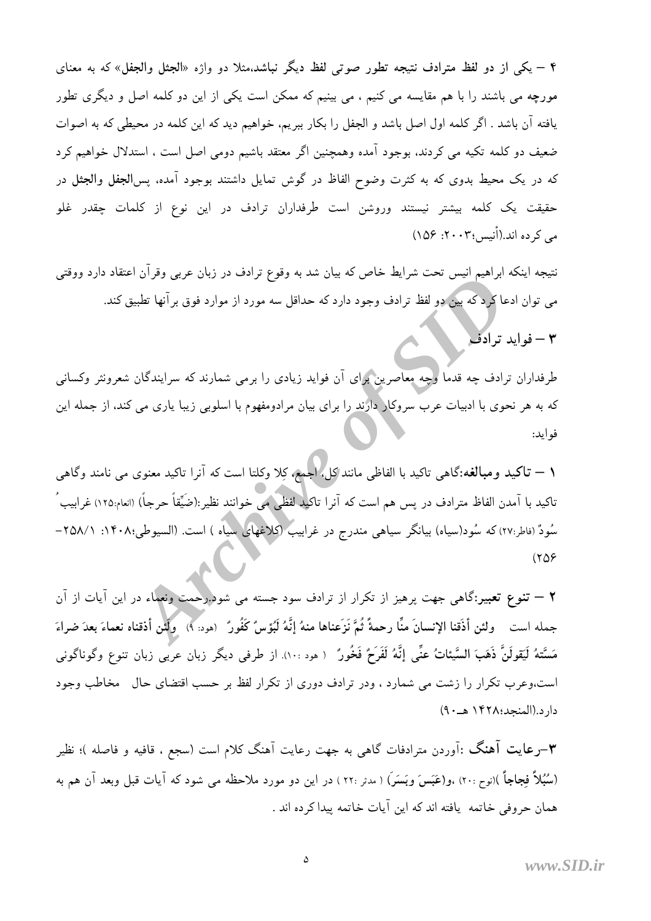۴ – یکی از دو لفظ مترادف نتیجه تطور صوتی لفظ دیگر نباشد،مثلا دو واژه «الجثل والجفل» که به معنای مورچه می باشند را با هم مقایسه می کنیم ، می بینیم که ممکن است یکی از این دو کلمه اصل و دیگری تطور یافته آن باشد . اگر کلمه اول اصل باشد و الجفل را بکار ببریم، خواهیم دید که این کلمه در محیطی که به اصوات ضعیف دو کلمه تکیه می کردند، بوجود آمده وهمچنین اگر معتقد باشیم دومی اصل است ، استدلال خواهیم کرد که در یک محیط بدوی که به کثرت وضوح الفاظ در گوش تمایل داشتند بوجود آمده، پس**الجفل والجثل** در حقیقت یک کلمه بیشتر نیستند وروشن است طرفداران ترادف در این نوع از کلمات چقدر غلو مے کے دہ اند.(أُنيس؛۲۰۰۳: ۱۵۶)

نتیجه اینکه ابراهیم انیس تحت شرایط خاص که بیان شد به وقوع ترادف در زبان عربی وقرآن اعتقاد دارد ووقتی می توان ادعا کردکه بین دو لفظ ترادف وجود دارد که حداقل سه مورد از موارد فوق برآنها تطبیق کند.

۳ – فواید ترادف

طرفداران ترادف چه قدما وچه معاصرین برای آن فواید زیادی را برمی شمارند که سرایندگان شعرونثر وکسانی که به هر نحوی با ادبیات عرب سروکار دارند را برای بیان مرادومفهوم با اسلوبی زیبا یاری می کند، از جمله این فوايد:

<mark>\ — تاكيد ومبالغ</mark>ه:گاهي تاكيد با الفاظي مانند كل، اجمع، كلا وكلتا است كه آنرا تاكيد معنوي مي نامند وگاهي تاكيد با آمدن الفاظ مترادف در پس هم است كه آنرا تاكيد لفظي مي خوانند نظير:(ضَيِّقاً حرجاً) (انعام:١٢٥) غرابيب ُ سُودٌ (فاطر:٢٧) که سُود(سیاه) بیانگر سیاهی مندرج در غرابیب (کلاغهای سیاه ) است. (السیوطی:٢٠٨٨: ٢٥٨/١  $(509$ 

**۲** — تنوع تعبیر:گاهی جهت پرهیز از تکرار از ترادف سود جسته می شود.رحمت ونعماء در این آیات از آن جمله است ولئن أذَقنا الإنسانَ منَّا رحمةً ثُمَّ نَزَعناها منهُ إنَّهُ لَبُؤسٌ كَفُورٌ (هود: ٩) ولَئن أذقناه نعماءَ بعدَ ضراءَ مَسَّتهُ لَيَقولَنَّ ذَهَبَ السَّيئاتُ عنِّي إنَّهُ لَفَرَحٌ فَخُورٌ ۚ ( هود ١٠٠). از طرفي ديگر زبان عربي زبان تنوع وگوناگوني است،وعرب تکرار را زشت می شمارد ، ودر ترادف دوری از تکرار لفظ بر حسب اقتضای حال مخاطب وجود دار د.(المنجد:۱۴۲۸ هـــ.۹)

۳–رعایت آهنگ :آوردن مترادفات گاهی به جهت رعایت آهنگ کلام است (سجع ، قافیه و فاصله )؛ نظیر (سُبُلاً فجاجاً )(نوح :٢٠) ،و(عَبَسَ وبَسَرَ) ( مدثر :٢٢ ) در این دو مورد ملاحظه می شود که آیات قبل وبعد آن هم به همان حروفي خاتمه پافته اند که اين آيات خاتمه بيدا کرده اند .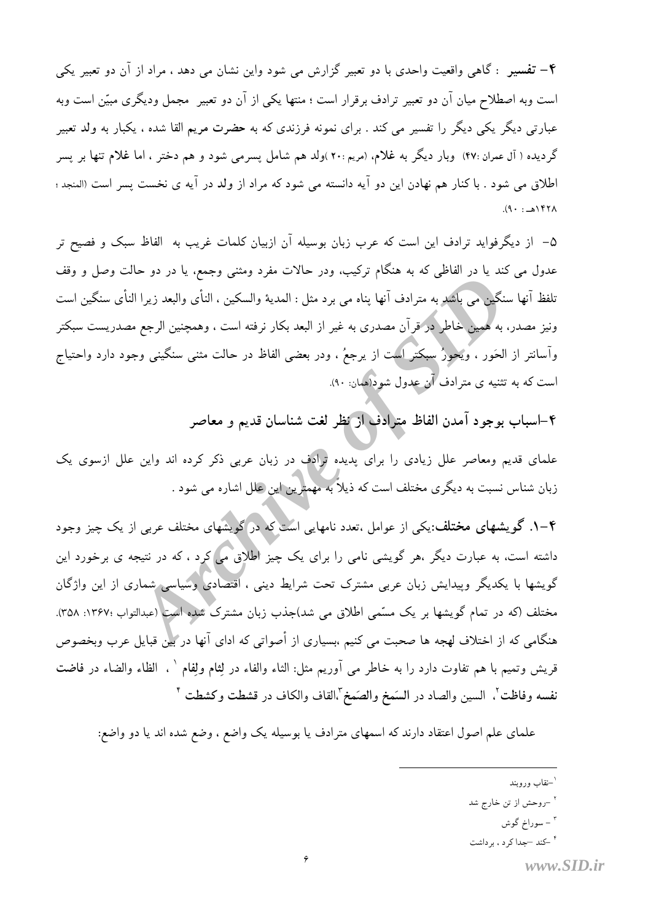۴– تفسیر : گاهی واقعیت واحدی با دو تعبیر گزارش می شود واین نشان می دهد ، مراد از آن دو تعبیر یکی است وبه اصطلاح میان آن دو تعبیر ترادف برقرار است ؛ منتها یکی از آن دو تعبیر ً مجمل ودیگری مبیّن است وبه عبارتی دیگر یکی دیگر را تفسیر می کند . برای نمونه فرزندی که به حضرت مریم القا شده ، یکبار به ولد تعبیر گردیده ( آل عمران :۴۷) وبار دیگر به غلام، (مریم :۲۰)ولد هم شامل پسرمی شود و هم دختر ، اما غلام تنها بر پسر اطلاق می شود . با کنار هم نهادن این دو آیه دانسته می شود که مراد از ولد در آیه ی نخست پسر است (المنجد ؛  $(9. : \triangle)$ 

۵– از دیگرفواید ترادف این است که عرب زبان بوسیله آن ازبیان کلمات غریب به الفاظ سبک و فصیح تر عدول می کند یا در الفاظی که به هنگام ترکیب، ودر حالات مفرد ومثنی وجمع، یا در دو حالت وصل و وقف تلفظ آنها سنگین می باشد به مترادف آنها پناه می برد مثل : المدیهٔ والسکین ، النأی والبعد زیرا النأی سنگین است ونیز مصدر، به همین خاطر در قرآن مصدری به غیر از البعد بکار نرفته است ، وهمچنین الرجع مصدریست سبکتر وأسانتر از الحَور ، ويُحورُ سبكتر است از يرجعُ ، ودر بعضي الفاظ در حالت مثنى سنگيني وجود دارد واحتياج است که به تثنیه ی مترادف آن عدول شود(همان: ۹۰).

۴–اسباب بوجود آمدن الفاظ مترادف از نظر لغت شناسان قديم و معاصر

علمای قدیم ومعاصر علل زیادی را برای یدیده ترادف در زبان عربی ذکر کرده اند واین علل ازسوی یک زبان شناس نسبت به دیگری مختلف است که ذیلاً به مهمترین این علل اشاره می شود .

۴–۱. گویشهای مختلف:یکی از عوامل ،تعدد نامهایی است که در گویشهای مختلف عربی از یک چیز وجود داشته است، به عبارت دیگر ،هر گویشی نامی را برای یک چیز اطلاق می کرد ، که در نتیجه ی برخورد این گویشها با یکدیگر وپیدایش زبان عربی مشترک تحت شرایط دینی ، اقتصادی وسیاسی شماری از این واژگان مختلف (که در تمام گویشها بر یک مسّمی اطلاق می شد)جذب زبان مشترک شده است (عبدالتواب ١٣۶٧: ٢٥٨). هنگامی که از اختلاف لهجه ها صحبت می کنیم ،بسیاری از أصواتی که ادای آنها در بین قبایل عرب وبخصوص قريش وتميم با هم تفاوت دارد را به خاطر مي آوريم مثل: الثاء والفاء در لِثام ولِفام ` ، الظاء والضاء در فاضت نفسه وفاظت<sup>٬</sup>، السين والصاد در السَمخ والصَمخ<sup>٬</sup>،القاف والكاف در قشطت وكشطت <sup>۴</sup>

علمای علم اصول اعتقاد دارند که اسمهای مترادف یا بوسیله یک واضع ، وضع شده اند یا دو واضع:

- <sup>۳</sup> سوراخ گوش
- <sup>۴</sup> -کند -جدا کر د ، بر داشت

<sup>`–</sup>نقاب وروبند

<sup>&</sup>lt;sup>۲</sup> –روحش از تن خارج شد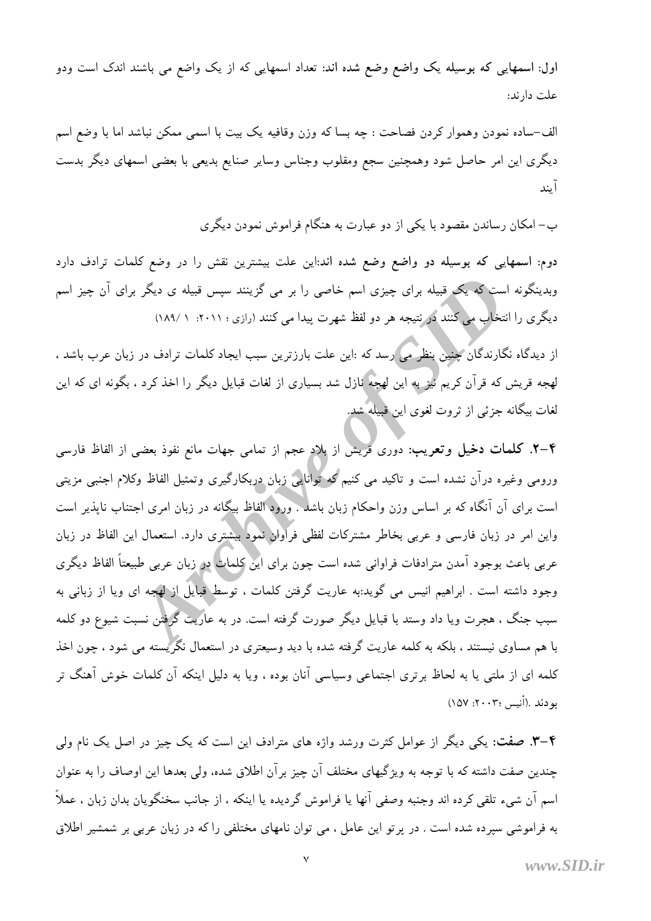اول: اسمهایی که بوسیله یک واضع وضع شده اند: تعداد اسمهایی که از یک واضع می باشند اندک است ودو علت دارند:

الف-ساده نمودن وهموار كردن فصاحت : چه بسا كه وزن وقافيه يك بيت با اسمى ممكن نباشد اما با وضع اسم دیگری این امر حاصل شود وهمچنین سجع ومقلوب وجناس وسایر صنایع بدیعی با بعضی اسمهای دیگر بدست آىند

ب– امکان رساندن مقصود با یکی از دو عبارت به هنگام فراموش نمودن دیگری

دوم: اسمهایی که بوسیله دو واضع وضع شده اند:این علت بیشترین نقش را در وضع کلمات ترادف دارد وبدینگونه است که یک قبیله برای چیزی اسم خاصی را بر می گزینند سپس قبیله ی دیگر برای آن چیز اسم دیگری را انتخاب می کنند در نتیجه هر دو لفظ شهرت پیدا می کنند (رازی؛ ۲۰۱۱: ۱۸۹/۱)

از دیدگاه نگارندگان چنین بنظر می رسد که :این علت بارزترین سبب ایجاد کلمات ترادف در زبان عرب باشد ، لهجه قریش که قرآن کریم نیز به این لهجه نازل شد بسیاری از لغات قبایل دیگر را اخذ کرد ، بگونه ای که این لغات بیگانه جزئی از ثروت لغوی این قبیله شد.

۴–۲. کلمات دخیل وتعریب: دوری قریش از بلاد عجم از تمامی جهات مانع نفوذ بعضی از الفاظ فارسی ورومی وغیره درآن نشده است و تاکید می کنیم که توانایی زبان دربکارگیری وتمثیل الفاظ وکلام اجنبی مزیتی است برای آن آنگاه که بر اساس وزن واحکام زبان باشد . ورود الفاظ بیگانه در زبان امری اجتناب ناپذیر است واین امر در زبان فارسی و عربی بخاطر مشترکات لفظی فراوالی نمولاً بیشتری دارد. استعمال این الفاظ در زبان عربی باعث بوجود آمدن مترادفات فراوانی شده است چون برای این کلمات در زبان عربی طبیعتاً الفاظ دیگری وجود داشته است . ابراهیم انیس می گوید:به عاریت گرفتن کلمات ، توسط قبایل از لهجه ای ویا از زبانی به سبب جنگ ، هجرت ویا داد وستد با قبایل دیگر صورت گرفته است. در به عاریت گرفتن نسبت شیوع دو کلمه با هم مساوی نیستند ، بلکه به کلمه عاریت گرفته شده با دید وسیعتری در استعمال نگریسته می شود ، چون اخذ کلمه ای از ملتبی یا به لحاظ برتری اجتماعی وسیاسی آنان بوده ، ویا به دلیل اینکه آن کلمات خوش آهنگ تر بو دند .(أنيس ٢٠٠٣: ١٥٧)

۴–۳. صفت: یکی دیگر از عوامل کثرت ورشد واژه های مترادف این است که یک چیز در اصل یک نام ولی چندین صفت داشته که با توجه به ویژگیهای مختلف آن چیز بر آن اطلاق شده، ولی بعدها این اوصاف را به عنوان اسم آن شيء تلقى كرده اند وجنبه وصفى آنها يا فراموش گرديده يا اينكه ، از جانب سخنگويان بدان زبان ، عملاً به فراموشی سپرده شده است . در پرتو این عامل ، می توان نامهای مختلفی را که در زبان عربی بر شمشیر اطلاق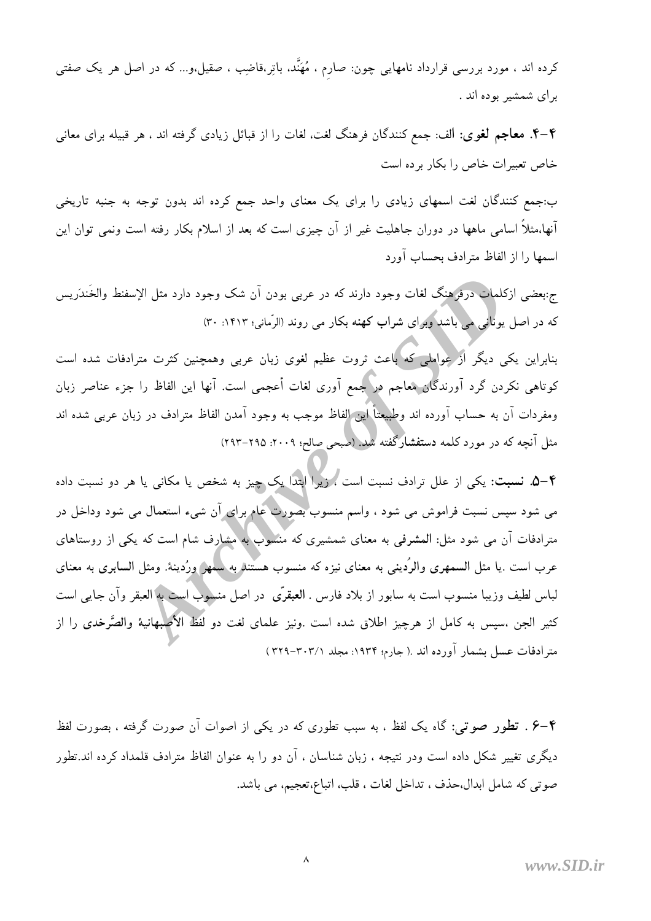کرده اند ، مورد بررسی قرارداد نامهایی چون: صارم ، مُهَنَّد، باتِر،قاضِب ، صقیل،و… که در اصل هر یک صفتی برای شمشیر بوده اند .

۴–۴. معاجم لغوی: الف: جمع کنندگان فرهنگ لغت، لغات را از قبائل زیادی گرفته اند ، هر قبیله برای معانی خاص تعبیرات خاص را بکار برده است

ب:جمع کنندگان لغت اسمهای زیادی را برای یک معنای واحد جمع کرده اند بدون توجه به جنبه تاریخی آنها،مثلاً اسامی ماهها در دوران جاهلیت غیر از آن چیزی است که بعد از اسلام بکار رفته است ونمی توان این اسمها را از الفاظ مترادف بحساب آورد

ج:بعضي ازكلمات درفرهنگ لغات وجود دارند كه در عربي بودن آن شک وجود دارد مثل الإسفنط والخَندَريس که در اصل یونانی می باشد وبرای شراب کهنه بکار می روند (الرّمانی؛ ۱۴۱۳: ۳۰)

بنابراین یکی دیگر از عواملی که باعث ثروت عظیم لغوی زبان عربی وهمچنین کثرت مترادفات شده است كوتاهي نكردن گرد آورندگان معاجم در جمع آوري لغات أعجمي است. آنها اين الفاظ را جزء عناصر زبان ومفردات آن به حساب آورده اند وطبیعتاً این الفاظ موجب به وجود آمدن الفاظ مترادف در زبان عربی شده اند مثل آنچه که در مورد کلمه دستفشارگفته شد. (صبحی صالح؛ ۲۰۰۹: ۲۹۵–۲۹۳)

۴–۵. نسبت: یکی از علل ترادف نسبت است ، زیرا ابتدا یک چیز به شخص یا مکانی یا هر دو نسبت داده می شود سپس نسبت فراموش می شود ، واسم منسوب بصورت عام برای آن شیء استعمال می شود وداخل در مترادفات آن می شود مثل: المشرفی به معنای شمشیری که منسوب به مشارف شام است که یکی از روستاهای عرب است .یا مثل السمهری والرُدینی به معنای نیزه که منسوب هستند به سمهر ورُدینهٔ. ومثل السابری به معنای لباس لطيف وزيبا منسوب است به سابور از بلاد فارس . العبقرّي در اصل منسوب است به العبقر وآن جايبي است کثیر الجن ،سیس به کامل از هرچیز اطلاق شده است .ونیز علمای لغت دو لفظ(الأصبهانیهٔ والصَّرخدی را از مترادفات عسل بشمار آورده اند .( جارم؛ ۱۹۳۴: مجلد ۳۰۲۱-۳۲۹)

۴–۶ . تطور صوتي: گاه يک لفظ ، به سبب تطوري که در يکي از اصوات آن صورت گرفته ، بصورت لفظ دیگری تغییر شکل داده است ودر نتیجه ، زبان شناسان ، آن دو را به عنوان الفاظ مترادف قلمداد کرده اند.تطور صوتي كه شامل ابدال حذف ، تداخل لغات ، قلب، اتباع،تعجيم، مي باشد.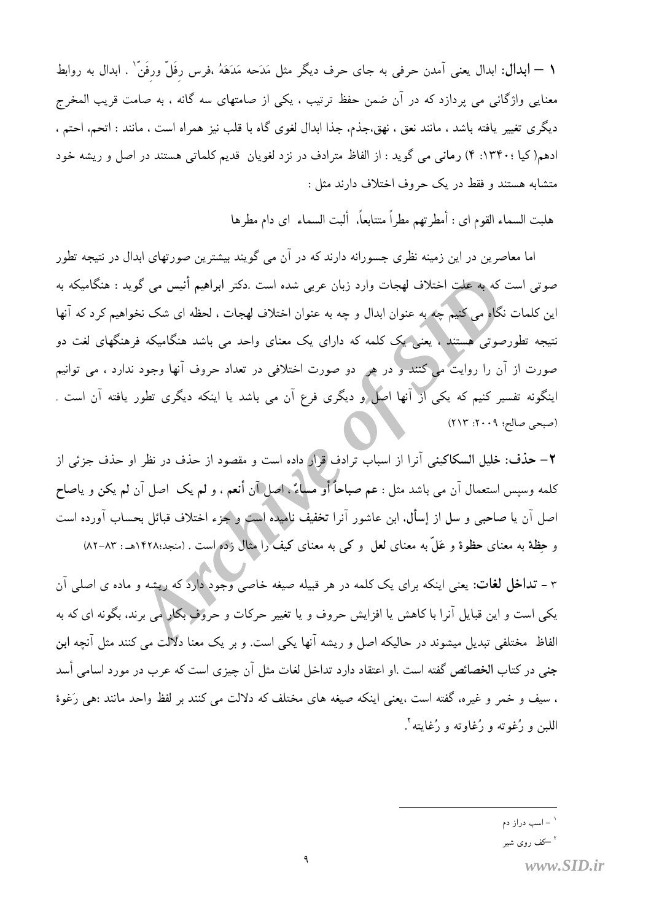١ — ابدال: ابدال يعني آمدن حرفي به جاى حرف ديگر مثل مَدَحه مَدَهَهُ ،فرس رفَلٌ ورفَنٌ`` . ابدال به روابط معنایی واژگانی می پردازد که در آن ضمن حفظ ترتیب ، یکی از صامتهای سه گانه ، به صامت قریب المخرج ديگري تغيير يافته باشد ، مانند نعق ، نهق،جذم، جذا ابدال لغوي گاه با قلب نيز همراه است ، مانند : اتحم، احتم ، ادهم(کیا :۱۳۴۰: ۴) رمانی می گوید : از الفاظ مترادف در نزد لغویان قدیم کلماتی هستند در اصل و ریشه خود متشابه هستند و فقط در یک حروف اختلاف دارند مثل :

هلبت السماء القوم اي : أمطرتهم مطراً متتابعاً، ألبت السماء اي دام مطرها

اما معاصرین در این زمینه نظری جسورانه دارند که در آن می گویند بیشترین صورتهای ابدال در نتیجه تطور صوتی است که به علت اختلاف لهجات وارد زبان عربی شده است .دکتر ابراهیم أنیس می گوید : هنگامیکه به این کلمات نگاه می کنیم چه به عنوان ابدال و چه به عنوان اختلاف لهجات ، لحظه ای شک نخواهیم کرد که آنها نتیجه تطورصوتی هستند ، یعنی یک کلمه که دارای یک معنای واحد می باشد هنگامیکه فرهنگهای لغت دو صورت از آن را روایت می کنند و در هر ً دو صورت اختلافی در تعداد حروف آنها وجود ندارد ، می توانیم اینگونه تفسیر کنیم که یکی از آنها اصل و دیگری فرع آن می باشد یا اینکه دیگری تطور یافته آن است . (صبحى صالح؛ ٢٠٠٩: ٢١٣)

٢– حذف: خليل السكاكيني آنرا از اسباب ترادف قرار داده است و مقصود از حذف در نظر او حذف جزئي از كلمه وسبس استعمال آن مي باشد مثل : عم صباحاً أو مساءً . اصل آن أنعم ، و لم يک اصل آن لم يکن و ياصاح اصل آن یا صاحبی و سل از إسأل، ابن عاشور آنرا تخفیف نامیده است و جزء اختلاف قبائل بحساب آورده است و حِظة به معناى حظوة و عَلَّ به معناى لعل و كي به معناى كيف را مثال زده است . (منجد؛١٤٢٨هـ : ٨٣–٨٢)

۳ – **تداخل لغات**: یعنی اینکه برای یک کلمه در هر قبیله صیغه خاصی وجود دارد که ریشه و ماده ی اصلی آن یکی است و این قبایل آنرا با کاهش یا افزایش حروف و یا تغییر حرکات و حروف بکار <mark>می برند، بگونه ای که به</mark> الفاظ ًمختلفی تبدیل میشوند در حالیکه اصل و ریشه آنها یکی است. و بر یک معنا دلالت می کنند مثل آنچه ابن جنبی در کتاب الخصائص گفته است .او اعتقاد دارد تداخل لغات مثل آن چیزی است که عرب در مورد اسامی أسد ، سيف و خمر و غيره، گفته است ،يعني اينكه صيغه هاي مختلف كه دلالت مي كنند بر لفظ واحد مانند :هي رَغوة اللبن و رُغوته و رُغاوته و رُغايته '

<sup>.&</sup>lt;br>- اسب دراز دم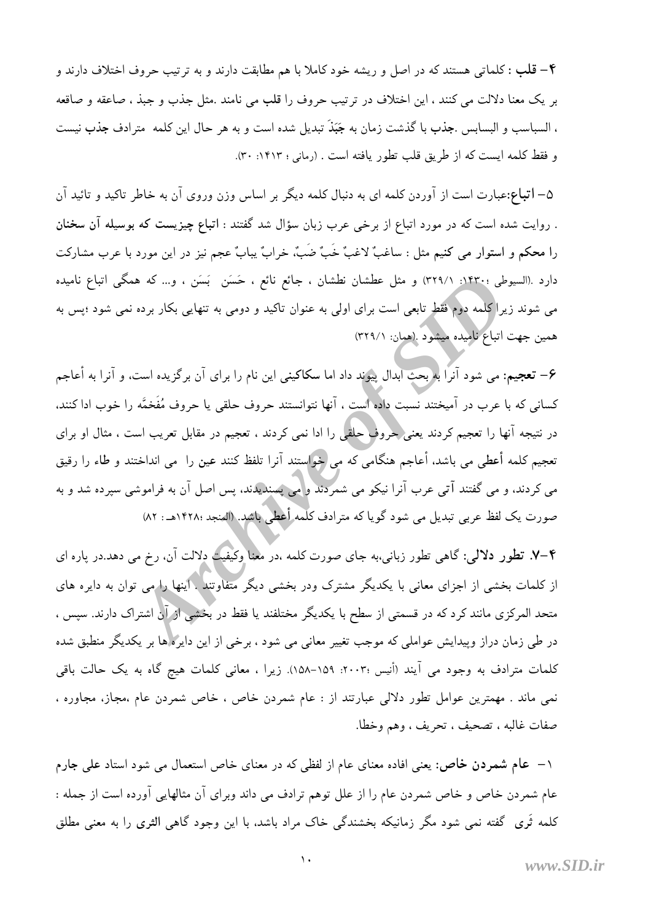۴– قلب : كلماتي هستند كه در اصل و ريشه خود كاملا با هم مطابقت دارند و به ترتيب حروف اختلاف دارند و بر يک معنا دلالت مي کنند ، اين اختلاف در ترتيب حروف را قلب مي نامند .مثل جذب و جبذ ، صاعقه و صاقعه ، السباسب و البسابس .جذب با گذشت زمان به جَبَذَ تبدیل شده است و به هر حال این کلمه ۖ مترادف جذب نیست و فقط كلمه ايست كه از طريق قلب تطور يافته است . (رماني ؛ ١٤١٣: ٣٠).

۵– **اتباع:**عبارت است از آوردن کلمه ای به دنبال کلمه دیگر بر اساس وزن وروی آن به خاطر تاکید و تائید آن . روایت شده است که در مورد اتباع از برخی عرب زبان سؤال شد گفتند : اتباع چیزیست که بوسیله آن سخنان را محکم و استوار می کنیم مثل : ساغبٌ لاغبٌ خَبٌ ضَبٌ، خرابٌ یبابٌ عجم نیز در این مورد با عرب مشارکت دارد .(السیوطی ؛۱۴۳۰؛ (/۳۲۹) و مثل عطشان نطشان ، جائع نائع ، حَسَن ۖ بَسَن ، و… که همگی اتباع نامیده می شوند زیرا کلمه دوم فقط تابعی است برای اولی به عنوان تاکید و دومی به تنهایی بکار برده نمی شود ؛پس به همین جهت اتباع نامیده میشود .(همان: ۳۲۹/۱)

۶– تعجیم: می شود آنراً بهربحث آبدال پیوند داد اما سکاکینی این نام را برای آن برگزیده است. و آنرا به أعاجم كساني كه با عرب در آميختند نسبت داده است ، آنها نتوانستند حروف حلقي يا حروف مُفَخمَّه را خوب ادا كنند. در نتیجه آنها را تعجیم کردند یعنی حروف حلقی را ادا نمی کردند ، تعجیم در مقابل تعریب است ، مثال او برای تعجیم کلمه أعطی می باشد، أعاجم هنگامی که می خواستند آنرا تلفظ کنند عین را ً می انداختند و طاء را رقیق می کردند، و می گفتند آتی عرب آنرا نیکو می شمردند و می پسندیدند، پس اصل آن به فراموشی سپرده شد و به صورت یک لفظ عربی تبدیل می شود گویا که مترادف کلمه أعطی باشد. (المنجد ۱۴۲۸: ۵۲)

۴–۷. تطور دلالی: گاهی تطور زبانی،به جای صورت کلمه ،در معنا وکیفیت دلالت آن، رخ می دهد.در یاره ای از کلمات بخشی از اجزای معانی با یکدیگر مشترک ودر بخشی دیگر متفاوتند . اینها را می توان به دایره های متحد المرکزی مانند کرد که در قسمتی از سطح با یکدیگر مختلفند یا فقط در بخشی از آن اشتراک دارند. سپس ، در طی زمان دراز وپیدایش عواملی که موجب تغییر معانی می شود ، برخی از این دایره ها بر یکدیگر منطبق شده کلمات مترادف به وجود می آیند (أنیس ۲۰۰۳: ۱۵۹–۱۵۸). زیرا ، معانی کلمات هیچ گاه به یک حالت باقی نمی ماند . مهمترین عوامل تطور دلالی عبارتند از : عام شمردن خاص ، خاص شمردن عام ،مجاز، مجاوره ، صفات غالبه ، تصحيف ، تحريف ، وهم وخطا.

۱– عام شمردن خاص: یعنی افاده معنای عام از لفظی که در معنای خاص استعمال می شود استاد علی جارم عام شمردن خاص و خاص شمردن عام را از علل توهم ترادف می داند وبرای آن مثالهایی آورده است از جمله : کلمه ثَری گفته نمی شود مگر زمانیکه بخشندگی خاک مراد باشد، با این وجود گاهی الثری را به معنی مطلق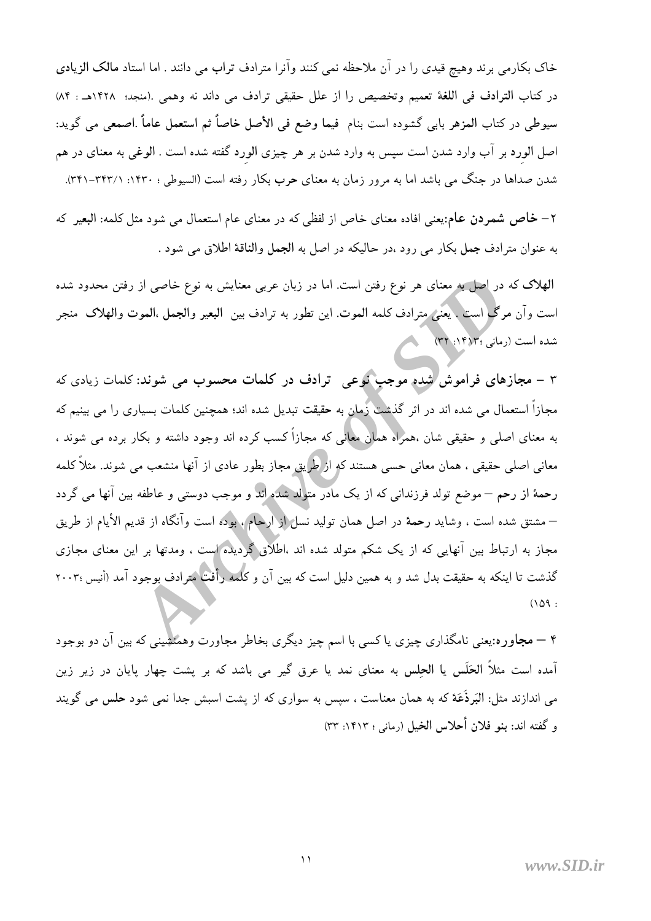خاک بکارمی برند وهیچ قیدی را در آن ملاحظه نمی کنند وآنرا مترادف تراب می دانند . اما استاد مالک الزیادی در كتاب الترادف في اللغة تعميم وتخصيص را از علل حقيقى ترادف مي داند نه وهمي .(منجد؛ ١٤٢٨هـ : ٨۴) سيوطى در كتاب المزهر بابي گشوده است بنام فيما وضع في الأصل خاصاً ثم استعمل عاماً .اصمعي مي گويد: اصل الورد بر آب وارد شدن است سپس به وارد شدن بر هر چیزی الورد گفته شده است . الوغی به معنای در هم شدن صداها در جنگ می باشد اما به مرور زمان به معنای حرب بکار رفته است (السیوطی ؛ ۱۴۲۰: ۳۴۱–۳۴۱).

۲– خاص شمردن عام:یعنی افاده معنای خاص از لفظی که در معنای عام استعمال می شود مثل کلمه: البعیر که به عنوان مترادف جمل بكار مي رود ،در حاليكه در اصل به الجمل والناقة اطلاق مي شود .

الهلاک که در اصل به معنای هر نوع رفتن است. اما در زبان عربی معنایش به نوع خاصی از رفتن محدود شده است وآن مرگ است . يُعني مِترادف كلمه الموت. اين تطور به ترادف بين البعير والجمل ،الموت والهلاک منجر شده است (رمانی :۱۴۱۲: ۳۲)

۳ – مجازهای فراموش شده موجب نوعی ترادف در کلمات محسوب می شوند: کلمات زیادی که مجازاً استعمال می شده اند در اثر گذشت زمان به حقیقت تبدیل شده اند؛ همچنین کلمات بسیاری را می بینیم که به معنای اصلی و حقیقی شان ،همراه همان معانی که مجازاً کسب کرده اند وجود داشته و بکار برده می شوند ، معانی اصلی حقیقی ، همان معانی حسی هستند که از طریق مجاز بطور عادی از آنها منشعب می شوند. مثلاً کلمه رحمهٔ از رحم – موضع تولد فرزندانی که از یک مادر متولد شده اند و موجب دوستی و عاطفه بین آنها می گردد – مشتق شده است ، وشايد رحمهٔ در اصل همان توليد نسل از آرحام ، بوده است وآنگاه از قديم الأيام از طريق مجاز به ارتباط بین آنهایی که از یک شکم متولد شده اند ،اطلاق گردیده است ، ومدتها بر این معنای مجازی گذشت تا اینکه به حقیقت بدل شد و به همین دلیل است که بین آن و کلمه رأفت مترادف بوجود آمد (أنیس ۲۰۰۳۰  $(109:$ 

۴ – مجاوره:یعنی نامگذاری چیزی یا کسی با اسم چیز دیگری بخاطر مجاورت وهمنشینی که بین آن دو بوجود آمده است مثلاً **الحَلَس یا الحِلس به معنای نمد یا عرق** گیر می باشد که بر پشت چهار پایان در زیر زین می اندازند مثل: البَرذَعَة که به همان معناست ، سیس به سواری که از پشت اسبش جدا نمی شود حلس می گویند و گفته اند: بنو فلان أحلاس الخيل (رماني ؛ ١۴١٣: ٣٣)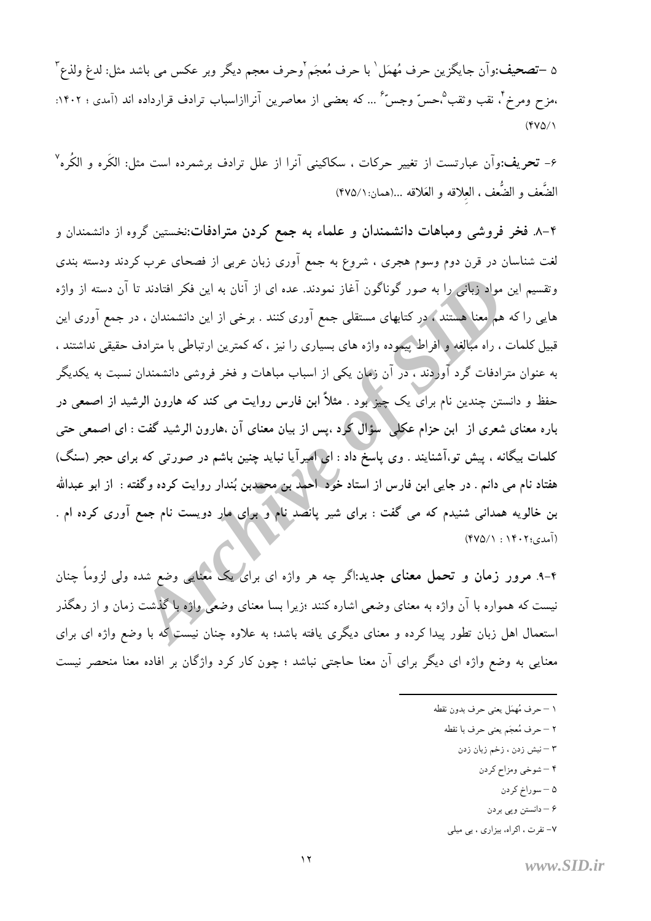۵ –تصحیف:وآن جایگزین حرف مُهمَل` با حرف مُعجَم`وحرف معجم دیگر وبر عکس می باشد مثل: لدغ ولذع ّ ،مزح ومرخ ً، نقب وثقب ؓ،حسّ وجسّ ً … که بعضی از معاصرین آنراازاسباب ترادف قرارداده اند (آمدی ؛ ۱۴۰۲:  $(9V\Delta)$ 

۶- تحريف:وآن عبارتست از تغيير حركات ، سكاكيني آنرا از علل ترادف برشمرده است مثل: الكَره و الكُره " الضَّعف و الضُّعف ، العلاقه و العَلاقه …(همان:١٢٧٥/١)

۴–۸. فخر فروشی ومباهات دانشمندان و علماء به جمع کردن مترادفات:نخستین گروه از دانشمندان و لغت شناسان در قرن دوم وسوم هجری ، شروع به جمع آوری زبان عربی از فصحای عرب کردند ودسته بندی وتقسیم این مواد زبانی را به صور گوناگون آغاز نمودند. عده ای از آنان به این فکر افتادند تا آن دسته از واژه هایی را که هم معنا هستند ، در کتابهای مستقلی جمع آوری کنند . برخی از این دانشمندان ، در جمع آوری این قبیل کلمات ، راه مبالغه و افراط پیموده واژه های بسیاری را نیز ، که کمترین ارتباطی با مترادف حقیقی نداشتند ، به عنوان مترادفات گرد آوردند ، در آن زمان یکی از اسباب مباهات و فخر فروشی دانشمندان نسبت به یکدیگر حفظ و دانستن چندین نام برای یک چیز بود . مثلاً ابن فارس روایت می کند که هارون الرشید از اصمعی در باره معنای شعری از ابن حزام عکلی ٌ سؤال کُرد ،پس از بیان معنای آن ،هارون الرشید گفت : ای اصمعی حتی کلمات بیگانه ، پیش تو،آشنایند . وی پاسخ داد : ایی امیرآیا نباید چنین باشم در صورتی که برای حجر (سنگ) هفتاد نام می دانم . در جایی ابن فارس از استاد خود احمد بن محمدبن بُندار روایت کرده وگفته : از ابو عبدالله بن خالویه همدانی شنیدم که می گفت : برای شیر پانصد نام و برای مار دویست نام جمع آوری کرده ام . (آمدي؛ ۰۱۴۰۲) (۴۷۵/۱)

۴-۹. مرور زمان و تحمل معنای جدید:اگر چه هر واژه ای برای یک معنایی وضع شده ولی لزوماً چنان نیست که همواره با آن واژه به معنای وضعی اشاره کنند ؛زیرا بسا معنای وضعی واژه با گذشت زمان و از رهگذر استعمال اهل زبان تطور پیدا کرده و معنای دیگری یافته باشد؛ به علاوه چنان نیست که با وضع واژه ای برای معنایی به وضع واژه ای دیگر برای آن معنا حاجتی نباشد ؛ چون کار کرد واژگان بر افاده معنا منحصر نیست

- ١ حرف مُهمَل يعني حرف بدون نقطه
	- ٢ حرف مُعجَم يعني حرف با نقطه
		- ٣ نيش زدن ، زخم زبان زدن
			- ۴ شوخي ومزاح كردن
				- ۵ سوراخ کردن
				- ۶ دانستن ويي بردن
	- ۷- نفرت ، اکراه، بیزاری ، بی میلی

www.SID.ir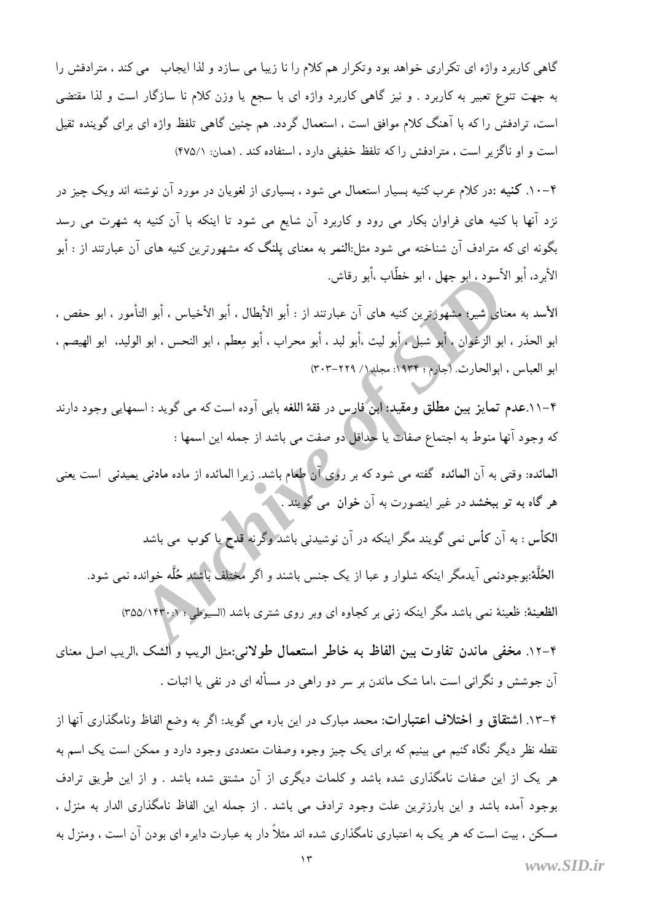گاهی کاربرد واژه ای تکراری خواهد بود وتکرار هم کلام را نا زیبا می سازد و لذا ایجاب \_می کند ، مترادفش را به جهت تنوع تعبیر به کاربرد . و نیز گاهی کاربرد واژه ای با سجع یا وزن کلام نا سازگار است و لذا مقتضی است، ترادفش را که با آهنگ کلام موافق است ، استعمال گردد. هم چنین گاهی تلفظ واژه ای برای گوینده ثقیل است و او ناگزیر است ، مترادفش را که تلفظ خفیفی دارد ، استفاده کند . (همان: ۴۷۵/۱)

۴–۱۰. کنیه :در کلام عرب کنیه بسیار استعمال می شود ، بسیاری از لغویان در مورد آن نوشته اند ویک چیز در نزد آنها با کنیه های فراوان بکار می رود و کاربرد آن شایع می شود تا اینکه با آن کنیه به شهرت می رسد .<br>بگونه ای که مترادف آن شناخته می شود مثل:**النم**ر به معنای یلنگ که مشهورترین کنیه های آن عبارتند از : أبو الأبر د، أبو الأسود ، ابو جهل ، ابو خطَّاب ،أبو رقاش.

الأسد به معناي شير؛ مشهوَّرترين كنيه هاي آن عبارتند از : أبو الأبطال ، أبو الأخياس ، أبو التأمور ، ابو حفص ، ابو الحذر ، ابو الزغوان ، أبو شبل ، أبو ليث ،أبو لبد ، أبو محراب ، أبو معطم ، ابو النحس ، ابو الوليد، ابو الهيصم ، ابو العباس ، ابوالحارث (جارم: ١٩٣٤: مجلد١/ ٢٠٢-٣٠٣)

۴–۱۱.عدم تمایز بین مطلق ومقید: ابن فارس در فقهٔ اللغه بابی آوده است که می گوید : اسمهایی وجود دارند كه وجود آنها منوط به اجتماع صفات يا حداقل دو صفت مي باشد از جمله اين اسمها :

العائده: وقتى به آن العائده گفته مى شود كه بر رو<mark>ى آن طعا</mark>م باشد. زيرا المائده از ماده مادنى يميدنى است يعنى هر گاه به تو ببخشد در غیر اینصورت به آن خوان می گویند . ٖ

۔<br>الکأس : به آن کأس نمی گویند مگر اینکه در آن نوشیدنی باشد <mark>وگرنه قدح یا کوب می باشد</mark> الحُلَّة:بوجودنمی آیدمگر اینکه شلوار و عبا از یک جنس باشند و اگر مختلف باش*ند حُ*لَّه خوانده نمی شود. الظعینهٔ: ظعینهٔ نمی باشد مگر اینکه زنبی بر کجاوه ای وبر روی شتری باشد (السیوطی ؛ ۰٫۱۴۳۰/۳۵۵)

۴–۱۲. مخفی ماندن تفاوت بین الفاظ به خاطر استعمال طولانی:مثل الریب و الشک ،الریب اصل معنای آن جوشش و نگرانی است ،اما شک ماندن بر سر دو راهی در مسأله ای در نفی یا اثبات .

۴–۱۲. اشتقاق و اختلاف اعتبارات: محمد مبارک در این باره می گوید: اگر به وضع الفاظ ونامگذاری آنها از نقطه نظر دیگر نگاه کنیم می بینیم که برای یک چیز وجوه وصفات متعددی وجود دارد و ممکن است یک اسم به هر یک از این صفات نامگذاری شده باشد و کلمات دیگری از آن مشتق شده باشد . و از این طریق ترادف بوجود آمده باشد و این بارزترین علت وجود ترادف می باشد . از جمله این الفاظ نامگذاری الدار به منزل ، مسکن ، بیت است که هر یک به اعتباری نامگذاری شده اند مثلاً دار به عبارت دایره ای بودن آن است ، ومنزل به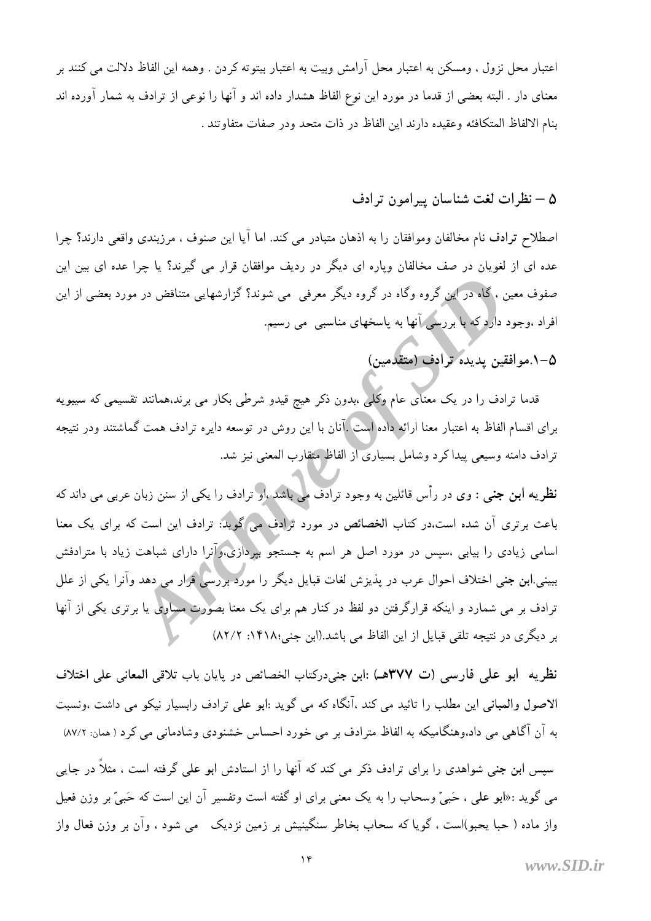اعتبار محل نزول ، ومسكن به اعتبار محل آرامش وبيت به اعتبار بيتوته كردن . وهمه اين الفاظ دلالت مي كنند بر معنای دار . البته بعضی از قدما در مورد این نوع الفاظ هشدار داده اند و آنها را نوعی از ترادف به شمار آورده اند بنام الالفاظ المتكافئه وعقيده دارند اين الفاظ در ذات متحد ودر صفات متفاوتند .

### ۵ – نظرات لغت شناسان پیرامون ترادف

اصطلاح ترادف نام مخالفان وموافقان را به اذهان متبادر می کند. اما آیا این صنوف ، مرزبندی واقعی دارند؟ چرا عده ای از لغویان در صف مخالفان وپاره ای دیگر در ردیف موافقان قرار می گیرند؟ یا چرا عده ای بین این صفوف معین ، گاه در این گروه وگاه در گروه دیگر معرفی می شوند؟ گزارشهایی متناقض در مورد بعضی از این افراد ،وجود دارد که با بررسی آنها به پاسخهای مناسبی می رسیم.

## ۵–۱.موافقین پدیده ترادف (متقدمین)

قدما ترادف را در یک معنای عام وکُلّی ،بدون ذکر هیچ قیدو شرطی بکار می برند،همانند تقسیمی که سیبویه برای اقسام الفاظ به اعتبار معنا ارائه داده است .آنان با این روش در توسعه دایره ترادف همت گماشتند ودر نتیجه ترادف دامنه وسیعی پیدا کرد وشامل بسیاری از الفاظ متقارب المعنی نیز شد.

نظریه **ابن جن**بی : وی در رأس قائلین به وجود ترادف می باشد ،او ترادف را یکی از سنن زبان عربی می داند که باعث برتری آن شده است.در کتاب الخصائص در مورد ترادف می گوید: ترادف این است که برای یک معنا اسامی زیادی را بیابی ،سپس در مورد اصل هر اسم به جستجو بپردازی،وآنرا دارای شباهت زیاد با مترادفش ببینی ابن جنی اختلاف احوال عرب در پذیزش لغات قبایل دیگر را مورد بررسی قرار می دهد وآنرا یکی از علل ترادف بر می شمارد و اینکه قرارگرفتن دو لفظ در کنار هم برای یک معنا بصورت مساوی یا برتری یکی از آنها بر دیگری در نتیجه تلقی قبایل از این الفاظ می باشد.(ابن جنی:۱۴۱۸: ۸۲/۲)

نظريه ابو على فارسي (ت ٣٧٧هـ) :ابن جني‹ركتاب الخصائص در پايان باب تلاقي المعاني على اختلاف الاصول والعباني اين مطلب را تائيد مي كند ،آنگاه كه مي گويد :ابو علي ترادف رابسيار نيكو مي داشت ،ونسبت به آن آگاهی می داد،وهنگامیکه به الفاظ مترادف بر می خورد احساس خشنودی وشادمانی می کرد ( همان: ٨٧/٢)

سپس اب**ن ج**نبی شواهدی را برای ترادف ذکر می کند که آنها را از استادش ابو علی گرفته است ، مثلاً در جایی می گوید :«ابو علی ، حَبیّ وسحاب را به یک معنی برای او گفته است وتفسیر آن این است که حَبیّ بر وزن فعیل واز ماده ( حبا یحبو)است ، گویا که سحاب بخاطر سنگینیش بر زمین نزدیک می شود ، وآن بر وزن فعال واز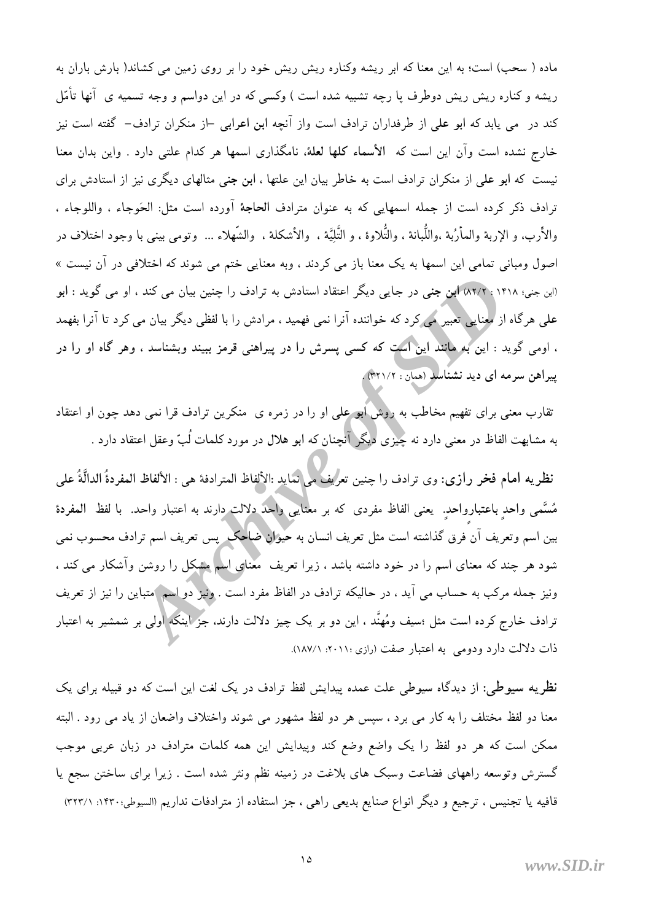ماده ( سحب) است؛ به این معنا که ابر ریشه وکناره ریش ریش خود را بر روی زمین می کشاند( بارش باران به ریشه و کناره ریش ریش دوطرف یا رچه تشبیه شده است ) وکسی که در این دواسم و وجه تسمیه ی آنها تأمّل کند در می پابد که ابو علی از طرفداران ترادف است واز آنچه ابن اعرابی –از منکران ترادف– گفته است نیز خارج نشده است وآن این است که الأسماء کلها لعلهٔ، نامگذاری اسمها هر کدام علتی دارد . واین بدان معنا نیست که ابو علی از منکران ترادف است به خاطر بیان این علتها ، ابن جنی مثالهای دیگری نیز از استادش برای ترادف ذكر كرده است از جمله اسمهايي كه به عنوان مترادف الحاجة آورده است مثل: الحَوجاء ، واللوجاء ، والأرب، و الإربة والمأرُبة ،واللَّبانة ، والتَّلاوة ، و التَّليَّة ، ۖ والأشكلة ، ۖ والشَّهلاء … وتومى بيني با وجود اختلاف در اصول ومبانی تمامی این اسمها به یک معنا باز می کردند ، وبه معنایی ختم می شوند که اختلافی در آن نیست » (ابن جني؛ ١٤١٨ : ٨٢/٢) ابن جني در جايبي ديگر اعتقاد استادش به ترادف را چنين بيان مي كند ، او مي گويد : ابو علمی هرگاه از معنایی تعبیر می کرد که خواننده آنرا نمی فهمید ، مرادش را با لفظی دیگر بیان می کرد تا آنرا بفهمد ، اومی گوید : این به مانند این است که کسی پسرش را در پیراهنی قرمز ببیند وبشناسد ، وهر گاه او را در پیراهن سرمه ای دید نشناسدِ (همان : ۳۲۱/۲).

تقارب معنی برای تفهیم مخاطب به روش ابو علی او را در زمره ی منکرین ترادف قرا نمی دهد چون او اعتقاد به مشابهت الفاظ در معنی دارد نه چیزی دیگر آنچنان که ابو هلال در مورد کلمات لُبّ وعقل اعتقاد دارد .

نظريه امام فخر رازي: وي ترادف را چنين تعرليفٌ مي نمايد :الألفاظ المترادفة هي : الألفاظ المفردةُ الدالَّةُ على مُسَّمى واحدٍ باعتبارواحدٍ ِ يعنى الفاظ مفردى كه بر معنَّايي واحدٌ دلالت دارند به اعتبار واحد. با لفظ المفردة بین اسم وتعریف آن فرق گذاشته است مثل تعریف انسان به حیوان ضاحک پس تعریف اسم ترادف محسوب نمی شود هر چند که معنای اسم را در خود داشته باشد ، زیرا تعریف ً معنای اسم مشکل را روشن وآشکار می کند ، ونیز جمله مرکب به حساب می آید ، در حالیکه ترادف در الفاظ مفرد است . ونیز دو اسم (متباین را نیز از تعریف ترادف خارج کرده است مثل ؛سیف ومُهنَّد ، این دو بر یک چیز دلالت دارند. جز اینکه اولی بر شمشیر به اعتبار ذات دلالت دارد ودومی به اعتبار صفت (رازی ۲۰۱۱: ۱۸۷/۱).

نظریه سپوطی: از دیدگاه سپوطی علت عمده پیدایش لفظ ترادف در یک لغت این است که دو قبیله برای یک معنا دو لفظ مختلف را به كار مى برد ، سيس هر دو لفظ مشهور مى شوند واختلاف واضعان از ياد مى رود . البته ممکن است که هر دو لفظ را یک واضع وضع کند وپیدایش این همه کلمات مترادف در زبان عربی موجب گسترش وتوسعه راههای فضاعت وسبک های بلاغت در زمینه نظم ونثر شده است . زیرا برای ساختن سجع یا قافیه یا تجنیس ، ترجیع و دیگر انواع صنایع بدیعی راهی ، جز استفاده از مترادفات نداریم (السیوطی:۱۴۳۰: ۳۲۲/۱)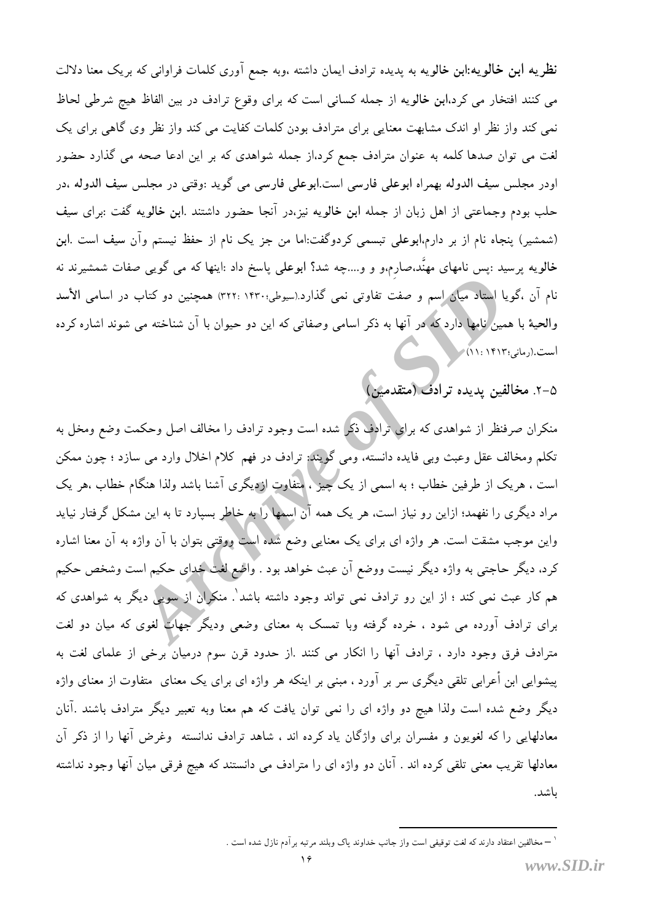نظریه ابن خالویه:ابن خالویه به پدیده ترادف ایمان داشته ،وبه جمع آوری کلمات فراوانی که بریک معنا دلالت می کنند افتخار می کرد،ابن خالویه از جمله کسانی است که برای وقوع ترادف در بین الفاظ هیچ شرطی لحاظ نمی کند واز نظر او اندک مشابهت معنایی برای مترادف بودن کلمات کفایت می کند واز نظر وی گاهی برای یک لغت می توان صدها کلمه به عنوان مترادف جمع کرد،از جمله شواهدی که بر این ادعا صحه می گذارد حضور اودر مجلس سيف الدوله بهمراه ابوعلى فارسي است.ابوعلى فارسي مي گويد :وقتي در مجلس سيف الدوله ،در حلب بودم وجماعتی از اهل زبان از جمله ابن خالویه نیز،در آنجا حضور داشتند .ابن خالویه گفت :برای سیف (شمشیر) پنجاه نام از بر دارم،ابوعلی تبسمی کردوگفت:اما من جز یک نام از حفظ نیستم وآن سیف است .ابن خالویه پرسید :پس نامهای مهنَّد،صارم،و و و….چه شد؟ ابوعلی پاسخ داد :اینها که می گویی صفات شمشیرند نه نام آن ،گویا استاد میان اسم و صفت تفاوتی نمی گذارد.(سیوطی:۱۴۳۰ :۳۲۲) همچنین دو کتاب در اسامی الأسد والحیهٔ با همین نامها دارد که در آنها به ذکر اسامی وصفاتی که این دو حیوان با آن شناخته می شوند اشاره کرده است.(رمانی:۱۴۱۳ : ۱۱)

۵-۲. مخالفین پدیده ترادف (متقدمین)

منکران صرفنظر از شواهدی که برای ترادف ذکر شده است وجود ترادف را مخالف اصل وحکمت وضع ومخل به تکلم ومخالف عقل وعبث وبی فایده دانسته، ومی گویند: ترادف در فهم کلام اخلال وارد می سازد ؛ چون ممکن است ، هریک از طرفین خطاب ؛ به اسمی از یک چیز ، متفاوت ازدیگری آشنا باشد ولذا هنگام خطاب ،هر یک مراد دیگری را نفهمد؛ ازاین رو نیاز است، هر یک همه آن اسمها را به خاطر بسپارد تا به این مشکل گرفتار نیاید واین موجب مشقت است. هر واژه ای برای یک معنایی وضع شده است ووقتی بتوان با آن واژه به آن معنا اشاره کرد، دیگر حاجتبی به واژه دیگر نیست ووضع آن عبث خواهد بود . واضع لغت خدای حکیم است وشخص حکیم هم کار عبث نمی کند ؛ از این رو ترادف نمی تواند وجود داشته باشد ٰ. منکران از سویی دیگر به شواهدی که برای ترادف آورده می شود ، خرده گرفته وبا تمسک به معنای وضعی ودیگر جهات لغوی که میان دو لغت مترادف فرق وجود دارد ، ترادف آنها را انکار می کنند .از حدود قرن سوم درمیان برخی از علمای لغت به پیشوایی ابن أعرابی تلقی دیگری سر بر آورد ، مبنی بر اینکه هر واژه ای برای یک معنای متفاوت از معنای واژه دیگر وضع شده است ولذا هیچ دو واژه ای را نمی توان یافت که هم معنا وبه تعبیر دیگر مترادف باشند .آنان معادلهایی را که لغویون و مفسران برای واژگان یاد کرده اند ، شاهد ترادف ندانسته وغرض آنها را از ذکر آن معادلها تقریب معنی تلقی کرده اند . آنان دو واژه ای را مترادف می دانستند که هیج فرقی میان آنها وجود نداشته باشد.

<sup>` —</sup> مخالفين اعتقاد دارند كه لغت توقيفي است واز جانب خداوند ياك وبلند مرتبه برآدم نازل شده است .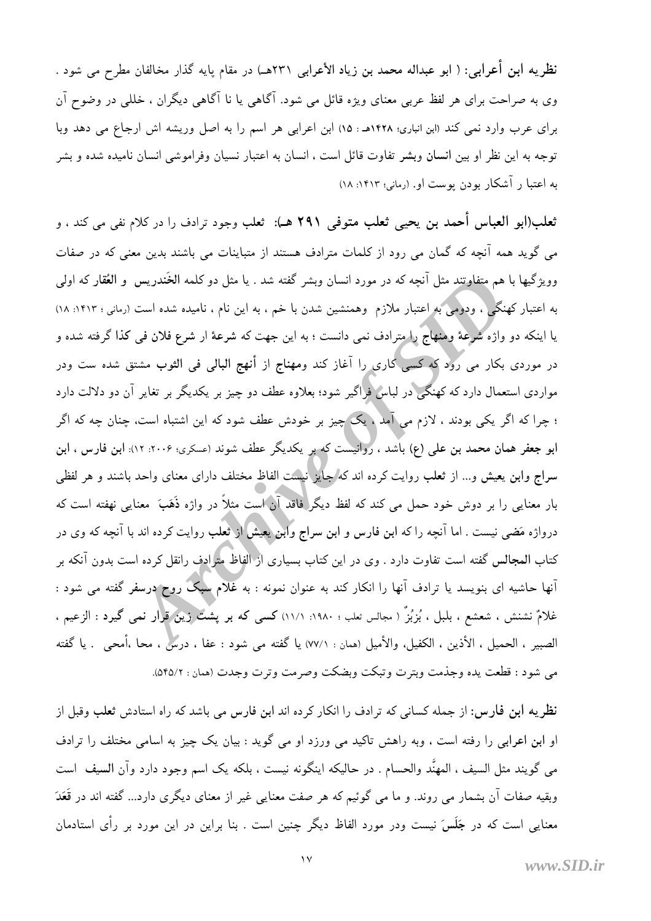نظریه ابن أعرابی: ( ابو عبداله محمد بن زیاد الأعرابی ۲۳۱هــ) در مقام پایه گذار مخالفان مطرح می شود . وی به صراحت برای هر لفظ عربی معنای ویژه قائل می شود. آگاهی یا نا آگاهی دیگران ، خللی در وضوح آن براي عرب وارد نمي كند (ابن انباري؛ ١٤٢٨هـ : ١٥) ابن اعرابي هر اسم را به اصل وريشه اش ارجاع مي دهد وبا توجه به این نظر او بین انسان وبشر تفاوت قائل است ، انسان به اعتبار نسیان وفراموشی انسان نامیده شده و بشر به اعتبا ر آشکار بودن پوست او. (رمانی؛ ۱۴۱۳: ۱۸)

ثعلب(ابو العباس أحمد بن يحيى ثعلب متوفى ٢٩١ هـ): ثعلب وجود ترادف را در كلام نفى مى كند ، و می گوید همه آنچه که گمان می رود از کلمات مترادف هستند از متباینات می باشند بدین معنی که در صفات وویژگیها با هم م<u>تفاوتن</u>د مثل آنچه که در مورد انسان وبشر گفته شد . یا مثل دو کلمه الخَندریس و ال**عُق**ار که اولی به اعتبار کهنگی ، ودومی به اعتبار ملازم ً وهمنشین شدن با خم ، به این نام ، نامیده شده است (رمانی : ۱۴۱۳: ۱۸) یا اینکه دو واژه شرعهٔ ومنهاج را مترادف نمی دانست ؛ به این جهت که شرعهٔ ار شرع فلان فی کذا گرفته شده و در موردی بکار می رود که کسی کاری را آغاز کند ومهناج از أنهج البالی فی الثوب مشتق شده ست ودر مواردی استعمال دارد که کهنگی در لباس فراگیر شود؛ بعلاوه عطف دو چیز بر یکدیگر بر تغایر آن دو دلالت دارد ؛ چرا که اگر یکی بودند ، لازم می آمد ، یک چیز بر خودش عطف شود که این اشتباه است، چنان چه که اگر ابو جعفر همان محمد بن علی (ع) باشد ، روانیست که بر یکدیگر عطف شوند (عسکری؛ ۲۰۰۶: ۱۲): ابن فارس ، ابن سراج وابن یعیش و… از ثعلب روایت کرده اند که <mark>اجایز نیست الفاظ مختلف دارای معنای واحد باشند و هر لفظی</mark> بار معنایی را بر دوش خود حمل می کند که لفظ دیگر فاقد آن است مثلاً در واژه ذَهَبَ ً معنایی نهفته است که درواژه مَضى نيست . اما آنچه را كه ابن فارس و ابن سراج وابن[يغيش] از تُعلب روايت كرده اند با آنچه كه وي در کتاب المجالس گفته است تفاوت دارد . وی در این کتاب بسیاری از الفاظ مترادف رانقل کرده است بدون آنکه بر آنها حاشیه ای بنویسد یا ترادف آنها را انکار کند به عنوان نمونه : به غلام سبک روح درسفر گفته می شود : غلامٌ نشنش ، شعشع ، بلبل ، بُزبُزٌ ( مجالس نعلب ؛ ١٩٨٠: ١١/١) كسى كه بر پشتٌ زين قرار نمى گيرد : الزعيم ، الصبير ، الحميل ، الأذين ، الكفيل، والأميل (همان : ٧٧/١) يا گفته مي شود : عفا ، درسٌ ، محا ،أمحى . يا گفته مي شود : قطعت يده وجذمت وبترت وتبكت وبضكت وصرمت وترت وجدت (همان : ٥۴٥/٢).

نظریه ابن فارس: از جمله کسانی که ترادف را انکار کرده اند ابن فارس می باشد که راه استادش ثعلب وقبل از او ابن اعرابی را رفته است ، وبه راهش تاکید می ورزد او می گوید : بیان یک چیز به اسامی مختلف را ترادف مى گويند مثل السيف ، المهنَّد والحسام . در حاليكه اينگونه نيست ، بلكه يک اسم وجود دارد وآن السيف است وبقیه صفات آن بشمار می روند. و ما می گوئیم که هر صفت معنایی غیر از معنای دیگری دارد… گفته اند در قَعَدَ معنایی است که در جَلَسَ نیست ودر مورد الفاظ دیگر چنین است . بنا براین در این مورد بر رأی استادمان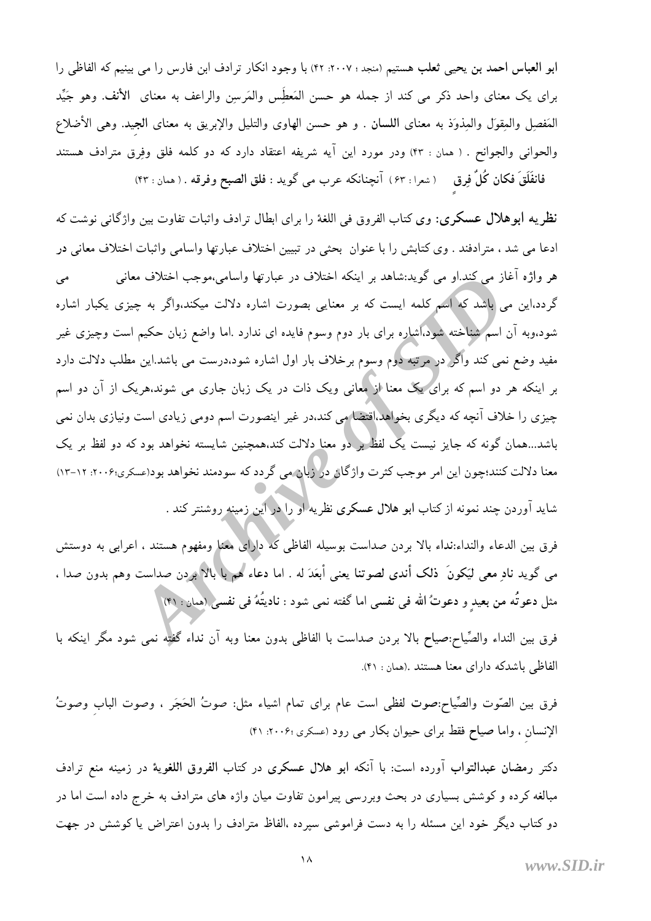ابو العباس احمد بن يحيى ثعلب هستيم (منجد : ٢٠٠٧: ۴٢) با وجود انكار ترادف ابن فارس را مي بينيم كه الفاظي را براي يک معناي واحد ذکر مي کند از جمله هو حسن المَعطِّس والمَرسِن والراعف به معناي الأنف. وهو جَيِّد الْمَفْصِلِ والْمِقْوَلِ والْمِذْوَذِ به معناي اللسان . و هو حسن الهاوى والتليل والإبريق به معناي الجيد. وهي الأضلاع والحواني والجوانح . ( همان : ۴۳) ودر مورد اين آيه شريفه اعتقاد دارد كه دو كلمه فلق وفِرق مترادف هستند فانفَلَقَ فكان كُلٌّ فِرق ( شعرا : ۶۳ ) آنچنانكه عرب مى گويد : فلق الصبح وفرقه . ( همان : ۴۳)

نظريه ابوهلال عسكري: وي كتاب الفروق في اللغة را براي ابطال ترادف واثبات تفاوت بين واژگاني نوشت كه ادعا مي شد ، مترادفند . وي كتابش را با عنوان بحثي در تبيين اختلاف عبارتها واسامي واثبات اختلاف معاني در هر واژه آغاز می کند.او می گوید:شاهد بر اینکه اختلاف در عبارتها واسامی،موجب اختلاف معانی مى گردد،این می باشد که اسم کلمه ایست که بر معنایی بصورت اشاره دلالت میکند،واگر به چیزی یکبار اشاره شود،وبه آن اسم شناخته شود،آشاره برای بار دوم وسوم فایده ای ندارد .اما واضع زبان حکیم است وچیزی غیر مفید وضع نمی کند واگر در مرتبه دوم وسوم برخلاف بار اول اشاره شود،درست می باشد.این مطلب دلالت دارد بر اینکه هر دو اسم که برای یک معنا از معانی ویک ذات در یک زبان جاری می شوند،هریک از آن دو اسم چیزی را خلاف آنچه که دیگری بخواهد.اقتضا می کند.در غیر اینصورت اسم دومی زیادی است ونیازی بدان نمی باشد...همان گونه که جایز نیست یک لفظ بر دو معنا دلالت کند،همچنین شایسته نخواهد بود که دو لفظ بر یک معنا دلالت کنند؛چون این امر موجب کثرت واژگان دور زبان می گردد که سودمند نخواهد بود(عسکري؛۲۰۰۶: ۱۲-۱۳) شاید آوردن چند نمونه از کتاب <mark>ابو هلال عسکری نظریه او را در این زمینه</mark> روشنتر کند .

فرق بين الدعاء والنداء:نداء بالا بردن صداست بوسيله الفاظي كه داراي معنا ومفهوم هستند ، اعرابي به دوستش می گوید نادِ معی لیَکونَ ۖ ذلک أندی لصوتنا یعنی أبعَدَ له . اما دعاء هُم با بالا بردن صداست وهم بدون صدا ، مثل دعوتُه من بعيدٍ و دعوتُ الله في نفسي اما گفته نمي شود : ناديتُهُ في نفسي((همان : ۴۱)

فرق بین النداء والصِّیاح:صیاح بالا بردن صداست با الفاظی بدون معنا وبه آن نداء گفته نمی شود مگر اینکه با الفاظي باشدكه داراي معنا هستند .(همان : ۴۱).

فرق بين الصَّوت والصِّياح:صوت لفظي است عام براي تمام اشياء مثل: صوتُ الحَجَر ، وصوت الباب وصوتُ الإنسان ، واما صياح فقط براي حيوان بكار مي رود (عسكري ٢٠٠۶: ۴١)

دکتر رمضان عبدالتواب آورده است: با آنکه ابو هلال عسکری در کتاب الفروق اللغویهٔ در زمینه منع ترادف مبالغه کرده و کوشش بسیاری در بحث وبررسی پیرامون تفاوت میان واژه های مترادف به خرج داده است اما در دو کتاب دیگر خود این مسئله را به دست فراموشی سپرده ،الفاظ مترادف را بدون اعتراض یا کوشش در جهت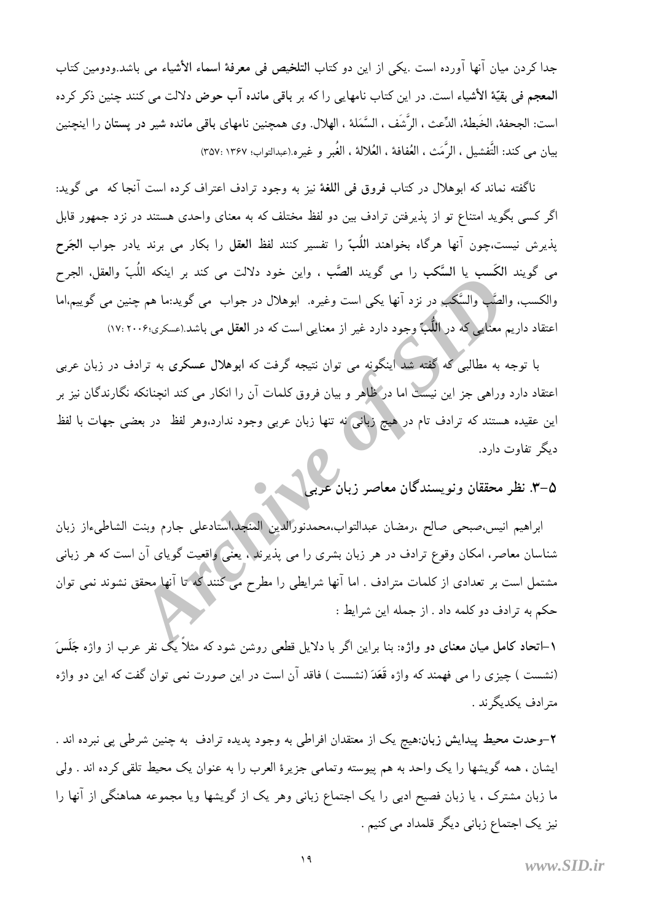جدا كردن ميان آنها آورده است .يكي از اين دو كتاب التلخيص في معرفة اسماء الأشياء مي باشد.ودومين كتاب المعجم في بقيّة الأشياء است. در اين كتاب نامهايي را كه بر باقي مانده آب حوض دلالت مي كنند چنين ذكر كرده است: الجحفة، الخَبطة، الدِّعث ، الرَّشَف ، السَّمَلة ، الهلال. وي همچنين نامهاي باقي مانده شير در يستان را اينچنين بيان مي كند: التَّفشيل ، الرَّمَت ، العُفافة ، العُلالة ، الغُبر و غيره.(عبدالتواب؛ ١٣٤٧ :٢٥٧)

ناگفته نماند که ابوهلال در کتاب فروق فی اللغهٔ نیز به وجود ترادف اعتراف کرده است آنجا که ً می گوید: اگر کسی بگوید امتناع تو از پذیرفتن ترادف بین دو لفظ مختلف که به معنای واحدی هستند در نزد جمهور قابل يذيرش نيست،چون آنها هرگاه بخواهند اللُبِّ را تفسير كنند لفظ العقل را بكار مي برند يادر جواب الجَرح مى گويند الكَسب يا السَّكب را مى گويند الصَّب ، واين خود دلالت مى كند بر اينكه اللُبّ والعقل، الجرح والکسب، والصُّب والسَّکب در نزد آنها یکی است وغیره. ابوهلال در جواب می گوید:ما هم چنین می گوییم،اما اعتقاد داریم معنایی که در اللَّبَّ وجود دارد غیر از معنایی است که در العقل می باشد (عسکری:۲۰۰۶ :۱۷)

با توجه به مطالبی که گفته شد اینگونه می توان نتیجه گرفت که ابوهلال عسکری به ترادف در زبان عربی اعتقاد دارد وراهی جز این نیست اما در ظاهر و بیان فروق کلمات آن را انکار می کند انچنانکه نگارندگان نیز بر این عقیده هستند که ترادف تام در هیچ زبانی نه تنها زبان عربی وجود ندارد،وهر لفظ ً در بعضی جهات با لفظ دیگر تفاوت دارد.

۵–۳. نظر محققان ونویسندگان معاصر زبان

ابراهيم انيس،صبحي صالح ،رمضان عبدالتواب،محمدنورالدين المنجد،استادعلي جارم وبنت الشاطيءاز زبان شناسان معاصر، امکان وقوع ترادف در هر زبان بشری را می پذیرند ، یعنی واقعیت گویای آن است که هر زبانی مشتمل است بر تعدادی از کلمات مترادف . اما آنها شرایطی را مطرح می کنند که تا آنها محقق نشوند نمی توان حکم به ترادف دو کلمه داد . از جمله این شرایط :

۱–اتحاد کامل میان معنای دو واژه: بنا براین اگر با دلایل قطعی روشن شود که مثلاً یک نفر عرب از واژه جَلَسَ (نشست ) چیزی را می فهمند که واژه قَعَدَ (نشست ) فاقد آن است در این صورت نمی توان گفت که این دو واژه متر ادف یکدیگر ند .

۲–وحدت محیط پیدایش زبان:هیچ یک از معتقدان افراطی به وجود پدیده ترادف به چنین شرطی پی نبرده اند . ایشان ، همه گویشها را یک واحد به هم پیوسته وتمامی جزیرهٔ العرب را به عنوان یک محیط تلقی کرده اند . ولی ما زبان مشترک ، یا زبان فصیح ادبی را یک اجتماع زبانی وهر یک از گویشها ویا مجموعه هماهنگی از آنها را نیز یک اجتماع زبانی دیگر قلمداد می کنیم .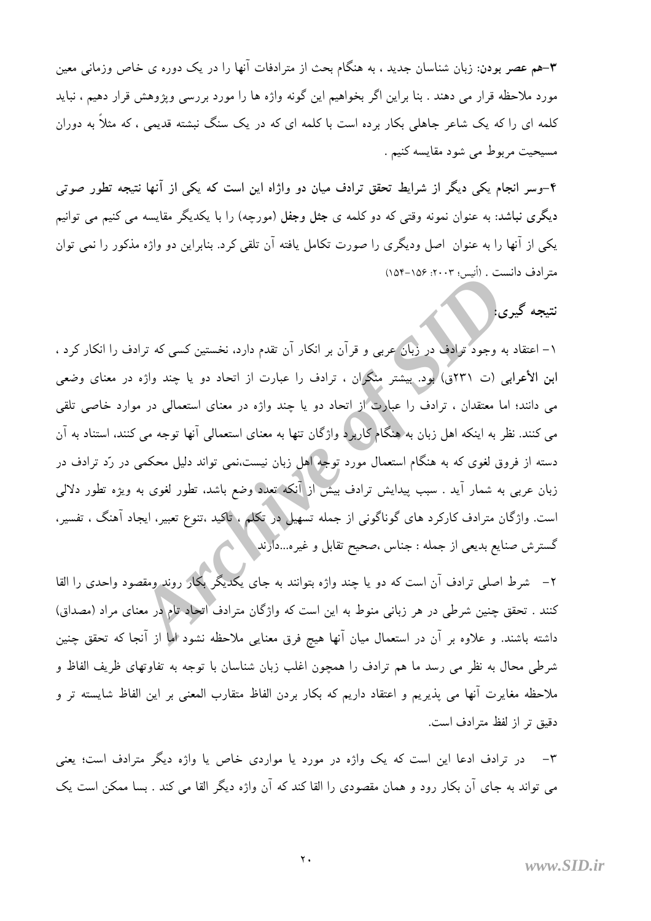۳–هم عصر بودن: زبان شناسان جدید ، به هنگام بحث از مترادفات آنها را در یک دوره ی خاص وزمانی معین مورد ملاحظه قرار می دهند . بنا براین اگر بخواهیم این گونه واژه ها را مورد بررسی ویژوهش قرار دهیم ، نباید کلمه ای را که یک شاعر جاهلی بکار برده است با کلمه ای که در یک سنگ نبشته قدیمی ، که مثلاً به دوران مسيحيت مربوط مي شود مقايسه كنيم .

۴-وسر انجام یکی دیگر از شرایط تحقق ترادف میان دو واژاه این است که یکی از آنها نتیجه تطور صوتی دیگری نباشد: به عنوان نمونه وقتی که دو کلمه ی جثل وجفل (مورچه) را با یکدیگر مقایسه می کنیم می توانیم یکی از آنها را به عنوان اصل ودیگری را صورت تکامل یافته آن تلقی کرد. بنابراین دو واژه مذکور را نمی توان مترادف دانست . (أنيس؛ ٢٠٠٣: ١٥۶-١٥۴)

### نتيجه گيري:

۱– اعتقاد به وجود ترادف در زبان عربی و قرآن بر انکار آن تقدم دارد، نخستین کسی که ترادف را انکار کرد ، ابن الأعرابي (ت ٢٣١ق) بود. بيشتر منكران ، ترادف را عبارت از اتحاد دو يا چند واژه در معناي وضعي می دانند؛ اما معتقدان ، ترادف را عبارت از اتحاد دو یا چند واژه در معنای استعمالی در موارد خاصی تلقی می کنند. نظر به اینکه اهل زبان به هنگام کاربرد واژگان تنها به معنای استعمالی آنها توجه می کنند، استناد به آن دسته از فروق لغوی که به هنگام استعمال مورد توجه اهل زبان نیست،نمی تواند دلیل محکمی در رّد ترادف در زبان عربی به شمار آید . سبب پیدایش ترادف بیش از آنکه تعدد وضع باشد. تطور لغوی به ویژه تطور دلالی است. واژگان مترادف کارکرد های گوناگونی از جمله تسهیل در تکلم ، تاکید ،تنوع تعبیر، ایجاد آهنگ ، تفسیر، گسترش صنایع بدیعی از جمله : جناس ،صحیح تقابل و غیره...دارند

۲– شرط اصلی ترادف آن است که دو یا چند واژه بتوانند به جای یکدیگر بکار روند ومقصود واحدی را القا کنند . تحقق چنین شرطی در هر زبانی منوط به این است که واژگان مترادف اتحاد تام در معنای مراد (مصداق) داشته باشند. و علاوه بر آن در استعمال میان آنها هیج فرق معنایی ملاحظه نشود اما از آنجا که تحقق چنین شرطی محال به نظر می رسد ما هم ترادف را همچون اغلب زبان شناسان با توجه به تفاوتهای ظریف الفاظ و ملاحظه مغايرت آنها مي پذيريم و اعتقاد داريم كه بكار بردن الفاظ متقارب المعنى بر اين الفاظ شايسته تر و دقيق تر از لفظ مترادف است.

۳– در ترادف ادعا این است که یک واژه در مورد یا مواردی خاص یا واژه دیگر مترادف است؛ یعنی می تواند به جای آن بکار رود و همان مقصودی را القا کند که آن واژه دیگر القا می کند . بسا ممکن است یک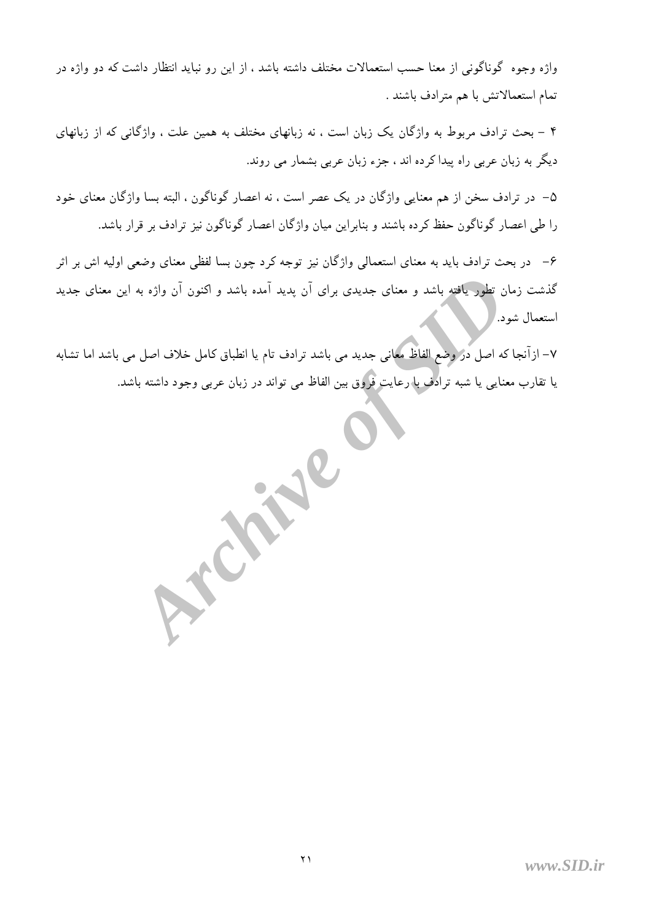واژه وجوه گوناگونی از معنا حسب استعمالات مختلف داشته باشد ، از این رو نباید انتظار داشت که دو واژه در تمام استعمالاتش با هم مترادف باشند .

۴ – بحث ترادف مربوط به واژگان یک زبان است ، نه زبانهای مختلف به همین علت ، واژگانی که از زبانهای دیگر به زبان عربی راه پیدا کرده اند ، جزء زبان عربی بشمار می روند.

۵– در ترادف سخن از هم معنایی واژگان در یک عصر است ، نه اعصار گوناگون ، البته بسا واژگان معنای خود را طی اعصار گوناگون حفظ کرده باشند و بنابراین میان واژگان اعصار گوناگون نیز ترادف بر قرار باشد.

۶– در بحث ترادف باید به معنای استعمالی واژگان نیز توجه کرد چون بسا لفظی معنای وضعی اولیه اش بر اثر گذشت زمان تطور یافته باشد و معنای جدیدی برای آن پدید آمده باشد و اکنون آن واژه به این معنای جدید استعمال شود. /

٧– ازآنجا که اصل در وضع الفاظ معانی جدید می باشد ترادف تام یا انطباق کامل خلاف اصل می باشد اما تشابه یا تقارب معنایی یا شبه ترادف با رعایت فروق بین الفاظ می تواند در زبان عربی وجود داشته باشد.

X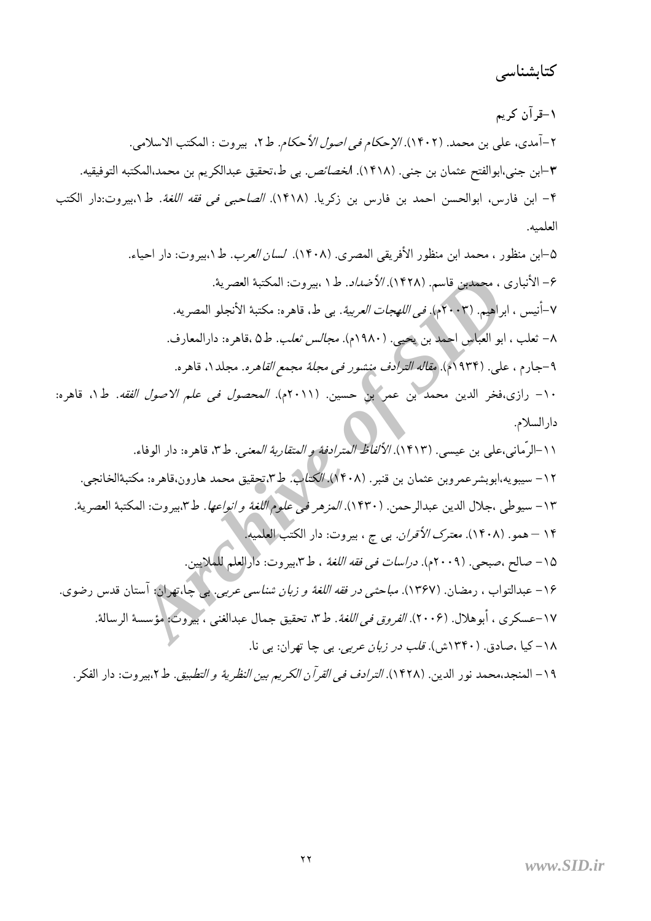كتابشناسي

۱-قرآن کریم ٢-أمدى، على بن محمد. (١۴٠٢). *الإحكام في اصول الأحكام.* ط٢، بيروت : المكتب الاسلامي. ٣–ابن جني،ابوالفتح عثمان بن جني. (١۴١٨). ا*لخصائص.* بي ط.تحقيق عبدالكريم بن محمد،المكتبه التوفيقيه. ۴- ابن فارس، ابوالحسن احمد بن فارس بن زكريا. (١۴١٨). *الصاحبي في فقه اللغة*. ط١،بيروت:دار الكتب العلمىه.

۵–ابن منظور ، محمد ابن منظور الأفريقي المصري. (١۴٠٨). *لسان العرب*. ط١،بيروت: دار احياء. ۶- الأنباري ، مجمدين قاسم. (١۴٢٨). *الأضداد*. ط١،بيروت: المكتبة العصرية. ٧-أنيس ، ابراهيم. (٢٠٠٣م)*. في اللهجات العربية*. بي ط، قاهره: مكتبة الأنجلو المصريه. ٨– ثعلب ، ابو العباس احمد بن يحيى. (١٩٨٠م). *مجالس ثعلب. ط*٥ ،قاهره: دارالمعارف. ۹–جارم ، علي. (۱۹۳۴م). *مقاله الترادف منشور في مجلة مجمع القاهره*. مجلد ۱، قاهره. ١٠- رازي،فخر الدين محمد بن عمر بن حسين. (٢٠١١م). *المحصول في علم الاصول الفقه.* ط١، قاهره: دارالسلام. ١١-الرِّماني،علي بن عيسى. (١۴١٣). *الألفاظ المترادفة و المتقاربة المعنى.* ط٣، قاهره: دار الوفاء. ۱۲– سیبویه،ابوبشرعمروبن عثمان بن قنبر. (۱۴۰۸). *الکتاب. ط*۳،تحقیق محمد هارون،قاهره: مکتبهٔالخانجی. ١٣- سيوطي ،جلال الدين عبدالرحمن. (١۴٣٠). *المزهر في علوم اللغة و انواعها. ط*٣،بيروت: المكتبة العصرية. ۱۴ – همو. (۱۴۰۸). *معترک الأقران.* بي ج ، بيروت: دار الکتب **العلم**يها. ١٥- صالح ،صبحي. (٢٠٠٩م). در*اسات في فقه اللغة* ، ط٣،بيروت: دارالعلم للملايين. ۱۶– عبدالتواب ، رمضان. (۱۳۶۷). *مباحثي در فقه اللغة و زبان شناسي عربي*. پي چا،تهران: آستان قدس رضوي.

١٧-عسكري ، أبوهلال. (٢٠٠۶). *الفروق في اللغة*. ط٣، تحقيق جمال عبدالغني ، بيروت: مؤسسة الرسالة. ۱۸–کیا ،صادق. (۱۳۴۰ش). ق*لب در زبان عربی*. بی چا تهران: بی نا.

١٩ – المنجد،محمد نور الدين. (١۴٢٨). *الترادف في القرآن الكريم بين النظرية و التطبيق.* ط٢،بيروت: دار الفكر.